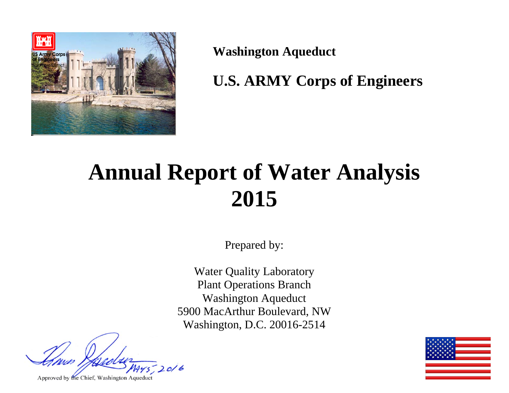

**Washington Aqueduct** 

**U.S. ARMY Corps of Engineers** 

# **Annual Report of Water Analysis 2015**

Prepared by:

Water Quality Laboratory Plant Operations Branch Washington Aqueduct 5900 MacArthur Boulevard, NW Washington, D.C. 20016-2514

 $20/6$ 

Approved by the Chief, Washington Aqueduct

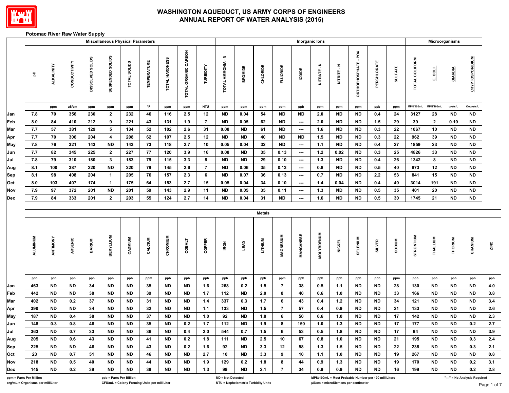

#### **Potomac River Raw Water Supply**

|            |                         |            |              |                  | <b>Miscellaneous Physical Parameters</b> |              |                     |                |                      |                |                   |                |               |                 |                          | Inorganic lons    |               |                                                      |               |                |                |              | Microorganisms |                              |      |
|------------|-------------------------|------------|--------------|------------------|------------------------------------------|--------------|---------------------|----------------|----------------------|----------------|-------------------|----------------|---------------|-----------------|--------------------------|-------------------|---------------|------------------------------------------------------|---------------|----------------|----------------|--------------|----------------|------------------------------|------|
|            | 玉                       | ALKALINITY | CONDUCTIVITY | DISSOLVED SOLIDS | SUSPENDED SOLIDS                         | TOTAL SOLIDS | <b>TEMPERATURE</b>  | TOTAL HARDNESS | TOTAL ORGANIC CARBON | TURBIDITY      | TOTAL AMMONIA - N | <b>BROMIDE</b> | CHLORIDE      | <b>FLUORIDE</b> | <b>IODIDE</b>            | NITRATE-N         | NITRITE - N   | ORTHOPHOSPHATE-PO4                                   | PERCHLORATE   | <b>SULFATE</b> | TOTAL COLIFORM | <b>TOOT</b>  | GIARDIA        | <b>CRYPTOSPORIDIUM</b>       |      |
|            |                         | ppm        | uS/cm        | ppm              | ppm                                      | ppm          | $^\circ \mathsf{F}$ | ppm            | ppm                  | <b>NTU</b>     | ppm               | ppm            | ppm           | ppm             | ppb                      | ppm               | ppm           | ppm                                                  | ppb           | ppm            | MPN/100mL      | MPN/100mL    | cysts/L        | Oocysts/L                    |      |
| Jan        | 7.8                     | 70         | 356          | 230              | $\overline{2}$                           | 232          | 46                  | 116            | 2.5                  | 12             | <b>ND</b>         | 0.04           | 54            | <b>ND</b>       | <b>ND</b>                | 2.0               | <b>ND</b>     | <b>ND</b>                                            | 0.4           | 24             | 3127           | 28           | <b>ND</b>      | <b>ND</b>                    |      |
| Feb        | 8.0                     | 84         | 410          | 212              | 9                                        | 221          | 43                  | 131            | 1.9                  | $\overline{7}$ | <b>ND</b>         | 0.05           | 62            | <b>ND</b>       | ---                      | 2.0               | ND.           | <b>ND</b>                                            | 1.5           | 29             | 39             | $\mathbf{2}$ | 0.10           | <b>ND</b>                    |      |
| Mar        | 7.7                     | 57         | 381          | 129              | 5                                        | 134          | 52                  | 102            | 2.6                  | 31             | 0.08              | <b>ND</b>      | 61            | <b>ND</b>       | $\hspace{0.05cm} \cdots$ | 1.6               | ND.           | <b>ND</b>                                            | 0.3           | 22             | 1067           | 10           | <b>ND</b>      | <b>ND</b>                    |      |
| Apr        | 7.7                     | 70         | 306          | 204              | $\overline{\mathbf{4}}$                  | 208          | 62                  | 107            | 2.5                  | 12             | <b>ND</b>         | <b>ND</b>      | 40            | <b>ND</b>       | <b>ND</b>                | 1.5               | <b>ND</b>     | <b>ND</b>                                            | 0.3           | 22             | 962            | 39           | <b>ND</b>      | <b>ND</b>                    |      |
| May        | 7.8                     | 76         | 321          | 143              | <b>ND</b>                                | 143          | 73                  | 118            | 2.7                  | 10             | 0.05              | 0.04           | 32            | <b>ND</b>       | ---                      | $1.1$             | <b>ND</b>     | <b>ND</b>                                            | 0.4           | 27             | 1859           | 23           | <b>ND</b>      | <b>ND</b>                    |      |
| Jun        | 7.7                     | 82         | 345          | 225              | $\mathbf{2}$                             | 227          | 77                  | 120            | 3.9                  | 16             | 0.08              | <b>ND</b>      | 35            | 0.13            | ---                      | $1.2$             | 0.02          | <b>ND</b>                                            | 0.3           | 25             | 4826           | 33           | <b>ND</b>      | <b>ND</b>                    |      |
| Jul        | 7.8                     | 79         | 310          | 180              | 3 <sub>o</sub>                           | 183          | 79                  | 115            | 3.3                  | 8              | <b>ND</b>         | <b>ND</b>      | 29            | 0.10            | ---                      | $1.3$             | <b>ND</b>     | <b>ND</b>                                            | 0.4           | 26             | 1342           | 8            | <b>ND</b>      | <b>ND</b>                    |      |
| Aug        | 8.1                     | 100        | 387          | 220              | $\sf ND$                                 | 220          | 79                  | 145            | 2.6                  | $\overline{7}$ | <b>ND</b>         | 0.06           | 35            | 0.13            | ---                      | 0.8               | <b>ND</b>     | <b>ND</b>                                            | 0.5           | 40             | 873            | 12           | <b>ND</b>      | <b>ND</b>                    |      |
| Sep        | 8.1                     | 98         | 408          | 204              | $\mathbf{1}$                             | 205          | 76                  | 157            | 2.3                  | 6              | <b>ND</b>         | 0.07           | 36            | 0.13            | ---                      | 0.7               | <b>ND</b>     | <b>ND</b>                                            | 2.2           | 53             | 841            | 15           | <b>ND</b>      | <b>ND</b>                    |      |
| Oct        | 8.0                     | 103        | 407          | 174              | $\mathbf{1}$                             | 175          | 64                  | 153            | 2.7                  | 15             | 0.05              | 0.04           | 34            | 0.10            | ---                      | 1.4               | 0.04          | <b>ND</b>                                            | 0.4           | 40             | 3014           | 191          | <b>ND</b>      | <b>ND</b>                    |      |
| Nov        | 7.9                     | 97         | 372          | 201              | <b>ND</b>                                | 201          | 59                  | 143            | 2.9                  | 11             | <b>ND</b>         | 0.05           | 35            | 0.11            | ---                      | $1.3$             | ND            | <b>ND</b>                                            | 0.5           | 35             | 401            | 20           | <b>ND</b>      | <b>ND</b>                    |      |
| Dec        | 7.9                     | 84         | 333          | 201              | $\mathbf{2}$                             | 203          | 55                  | 124            | 2.7                  | 14             | <b>ND</b>         | 0.04           | 31            | <b>ND</b>       | ---                      | 1.6               | <b>ND</b>     | <b>ND</b>                                            | 0.5           | 30             | 1745           | 21           | <b>ND</b>      | <b>ND</b>                    |      |
|            |                         |            |              |                  |                                          |              |                     |                |                      |                |                   |                | <b>Metals</b> |                 |                          |                   |               |                                                      |               |                |                |              |                |                              |      |
|            | <b>ALUMINUM</b>         | ANTIMONY   | ARSENIC      | <b>BARIUM</b>    | <b>BERYLLIUM</b>                         | CADMIUM      | CALCIUM             | CHROMIUM       | COBALT               | COPPER         | <b>IRON</b>       | <b>TEAD</b>    | LITHIUM       | MAGNESIUM       | MANGANESE                | <b>MOLYBDENUM</b> | <b>NICKEL</b> | <b>SELENIUM</b>                                      | <b>SILVER</b> | <b>NUIDES</b>  | STRONTIUM      | THALLIUM     | THORIUM        | URANIUM                      | ZINC |
|            | ppb                     | ppb        | ppb          | ppb              | ppb                                      | ppb          | ppm                 | ppb            | ppb                  | ppb            | ppb               | ppb            | ppb           | ppm             | ppb                      | ppb               | ppb           | ppb                                                  | ppb           | ppm            | ppb            | ppb          | ppb            | ppb                          | ppb  |
| Jan        | 463                     | <b>ND</b>  | <b>ND</b>    | 34               | ND                                       | <b>ND</b>    | 35                  | <b>ND</b>      | <b>ND</b>            | 1.6            | 268               | 0.2            | 1.5           | $\overline{7}$  | 38                       | $0.5\,$           | 1.1           | <b>ND</b>                                            | <b>ND</b>     | 28             | 130            | <b>ND</b>    | <b>ND</b>      | <b>ND</b>                    | 4.0  |
| Feb        | 442                     | <b>ND</b>  | <b>ND</b>    | 38               | <b>ND</b>                                | <b>ND</b>    | 39                  | <b>ND</b>      | <b>ND</b>            | $1.7$          | 112               | <b>ND</b>      | 2.0           | 8               | 40                       | 0.6               | 1.0           | <b>ND</b>                                            | <b>ND</b>     | 33             | 166            | <b>ND</b>    | <b>ND</b>      | <b>ND</b>                    | 3.8  |
| <b>Mar</b> | 402                     | <b>ND</b>  | 0.2          | 37               | <b>ND</b>                                | <b>ND</b>    | 31                  | <b>ND</b>      | <b>ND</b>            | 1.4            | 337               | 0.3            | 1.7           | 6               | 43                       | 0.4               | $1.2$         | <b>ND</b>                                            | <b>ND</b>     | 34             | 121            | <b>ND</b>    | <b>ND</b>      | <b>ND</b>                    | 3.4  |
| Apr        | 390                     | <b>ND</b>  | <b>ND</b>    | 34               | <b>ND</b>                                | <b>ND</b>    | 32                  | <b>ND</b>      | <b>ND</b>            | 1.1            | 133               | <b>ND</b>      | 1.5           | $\overline{7}$  | 57                       | 0.4               | 0.9           | <b>ND</b>                                            | <b>ND</b>     | 21             | 133            | <b>ND</b>    | <b>ND</b>      | <b>ND</b>                    | 2.6  |
| May        | 187                     | <b>ND</b>  | $0.4\,$      | 38               | <b>ND</b>                                | <b>ND</b>    | 37                  | <b>ND</b>      | <b>ND</b>            | $1.0\,$        | 92                | <b>ND</b>      | 1.8           | 6               | 50                       | $0.6\,$           | 1.0           | <b>ND</b>                                            | <b>ND</b>     | 17             | 142            | <b>ND</b>    | <b>ND</b>      | <b>ND</b>                    | 2.3  |
| Jun        | 148                     | 0.3        | 0.8          | 46               | <b>ND</b>                                | <b>ND</b>    | 35                  | <b>ND</b>      | 0.2                  | $1.7$          | 112               | <b>ND</b>      | 1.9           | 8               | 150                      | $1.0$             | $1.3$         | <b>ND</b>                                            | <b>ND</b>     | 17             | 177            | <b>ND</b>    | <b>ND</b>      | 0.2                          | 2.7  |
| Jul        | 363                     | ND         | 0.7          | 33               | ND                                       | <b>ND</b>    | 36                  | ND             | 0.4                  | 2.0            | 544               | 0.7            | 1.5           | 6               | 53                       | 0.5               | 1.8           | ND                                                   | ND            | 17             | 94             | ND           | <b>ND</b>      | ND.                          | 3.9  |
| Aug        | 205                     | <b>ND</b>  | 0.6          | 43               | ND.                                      | <b>ND</b>    | 41                  | <b>ND</b>      | 0.2                  | 1.8            | 111               | <b>ND</b>      | 2.5           | 10              | 67                       | 0.8               | 1.0           | ND.                                                  | <b>ND</b>     | 21             | 195            | ND           | <b>ND</b>      | 0.3                          | 2.4  |
| Sep        | 225                     | <b>ND</b>  | <b>ND</b>    | 46               | ND.                                      | ND.          | 43                  | <b>ND</b>      | 0.2                  | 1.6            | 92                | ND             | 3.3           | 12              | 58                       | 1.3               | 1.5           | ND.                                                  | ND            | 22             | 238            | ND           | <b>ND</b>      | 0.3                          | 2.1  |
| Oct        | 23                      | <b>ND</b>  | 0.7          | 51               | <b>ND</b>                                | <b>ND</b>    | 46                  | <b>ND</b>      | <b>ND</b>            | 2.7            | 10                | <b>ND</b>      | 3.3           | 9               | 10                       | 1.1               | 1.0           | ND.                                                  | <b>ND</b>     | 19             | 267            | <b>ND</b>    | <b>ND</b>      | ND                           | 0.8  |
| Nov        | 218                     | <b>ND</b>  | 0.5          | 40               | ND.                                      | <b>ND</b>    | 44                  | <b>ND</b>      | <b>ND</b>            | 1.9            | 129               | 0.2            | 1.8           | 8               | 44                       | 0.9               | 1.3           | ND.                                                  | <b>ND</b>     | 19             | 170            | ND           | <b>ND</b>      | 0.2                          | 3.1  |
| <b>Dec</b> | 145                     | <b>ND</b>  | 0.2          | 39               | <b>ND</b>                                | <b>ND</b>    | 38                  | ND             | <b>ND</b>            | 1.3            | 99                | ND             | 2.1           | $\overline{7}$  | 34                       | 0.9               | 0.9           | ND                                                   | <b>ND</b>     | 16             | 199            | <b>ND</b>    | <b>ND</b>      | 0.2                          | 2.8  |
|            | ppm = Parts Per Million |            |              |                  | ppb = Parts Per Billion                  |              |                     |                |                      |                | ND = Not Detected |                |               |                 |                          |                   |               | MPN/100mL = Most Probable Number per 100 milliLiters |               |                |                |              |                | "---" = No Analysis Required |      |

**org/mL = Organisms per milliLiter CFU/mL = Colony Forming Units per milliLiter NTU = Nephelometric Turbidity Units μS/cm = microSiemens per centimeter**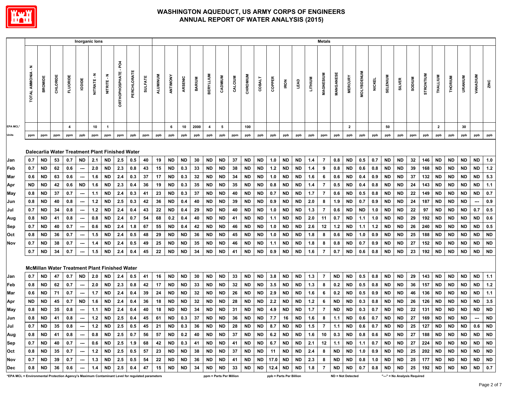

|                                                                                                 | Inorganic lons<br><b>Metals</b> |                             |           |                  |                                 |              |                                                         |                             |                   |                |                 |                        |                 |               |                  |                         |          |           |                 |                                                                                               |                         |                        |            |                |                  |                   |                   |                                |                        |                              |               |               |                         |                        |                        |                          |                  |
|-------------------------------------------------------------------------------------------------|---------------------------------|-----------------------------|-----------|------------------|---------------------------------|--------------|---------------------------------------------------------|-----------------------------|-------------------|----------------|-----------------|------------------------|-----------------|---------------|------------------|-------------------------|----------|-----------|-----------------|-----------------------------------------------------------------------------------------------|-------------------------|------------------------|------------|----------------|------------------|-------------------|-------------------|--------------------------------|------------------------|------------------------------|---------------|---------------|-------------------------|------------------------|------------------------|--------------------------|------------------|
|                                                                                                 | <b>TOTAL AMMONIA - N</b>        | <b>BROMIDE</b>              | CHLORIDE  | <b>FLUORIDE</b>  | <b>IODIDE</b>                   | Ŧ<br>NITRATE | č<br>NITRITE.                                           | <b>ORTHOPHOSPHATE - PO4</b> | <b>PERCHLORAT</b> | <b>SULFATE</b> | <b>ALUMINUM</b> | ANTIMONY               | ARSENIC         | <b>BARIUM</b> | <b>BERYLLIUM</b> | CADMIUM                 | CALCIUM  | CHROMIUM  | <b>COBALT</b>   | COPPER                                                                                        | IRON                    | <b>LEAD</b>            | LITHIUM    | MAGNESIUM      | <b>MANGANESE</b> | <b>MERCURY</b>    | <b>MOLYBDENUM</b> | <b>NICKEL</b>                  | <b>SELENIUM</b>        | SILVER                       | <b>NUIGOS</b> | STRONTIUM     | THALLIUM                | THORIUM                | <b>URANIUM</b>         | <b>VANADIUM</b>          | ZINC             |
| <b>EPA MCL*</b>                                                                                 |                                 |                             |           | $\boldsymbol{4}$ |                                 | 10           | $\mathbf{1}$                                            |                             |                   |                |                 | 6                      | 10              | 2000          | $\overline{4}$   | 5                       |          | 100       |                 |                                                                                               |                         |                        |            |                |                  | $\overline{2}$    |                   |                                | 50                     |                              |               |               | $\overline{\mathbf{2}}$ |                        | 30                     |                          |                  |
| <b>Units</b>                                                                                    | ppm                             | ppm                         | ppm       | ppm              | ppb                             | ppm          | ppm                                                     | ppm                         | ppb               | ppm            | ppb             | ppb                    | ppb             | ppb           | ppb              | ppb                     | ppm      | ppb       | ppb             | ppb                                                                                           | ppb                     | ppb                    | ppb        | ppm            | ppb              | ppb               | ppb               | ppb                            | ppb                    | ppb                          | ppm           | ppb           | ppb                     | ppb                    | ppb                    | ppb                      | ppb              |
|                                                                                                 |                                 |                             |           |                  |                                 |              | Dalecarlia Water Treatment Plant Finished Water         |                             |                   |                |                 |                        |                 |               |                  |                         |          |           |                 |                                                                                               |                         |                        |            |                |                  |                   |                   |                                |                        |                              |               |               |                         |                        |                        |                          |                  |
| Jan                                                                                             | 0.7                             | ND                          | 53        | 0.7              | ND                              | 2.1          | <b>ND</b>                                               | 2.5                         | 0.5               | 40             | 19              | <b>ND</b>              | <b>ND</b>       | 30            | <b>ND</b>        | ND                      | 37       | <b>ND</b> | <b>ND</b>       | 1.0                                                                                           | <b>ND</b>               | <b>ND</b>              | 1.4        | 7              | 0.8              | <b>ND</b>         | 0.5               | 0.7                            | ND                     | <b>ND</b>                    | 32            | 146           | <b>ND</b>               | <b>ND</b>              | ND                     | <b>ND</b>                | 1.0              |
| Feb                                                                                             | 0.7                             | ND                          | 62        | 0.6              | $\overline{\phantom{a}}$        | 2.0          | <b>ND</b>                                               | 2.3                         | 0.8               | 43             | 15              | <b>ND</b>              | 0.3             | 33            | <b>ND</b>        | ND                      | 38       | <b>ND</b> | <b>ND</b>       | 1.2                                                                                           | <b>ND</b>               | <b>ND</b>              | 1.4        | 9              | 0.8              | <b>ND</b>         | 0.6               | 0.8                            | <b>ND</b>              | <b>ND</b>                    | 39            | 168           | <b>ND</b>               | <b>ND</b>              | <b>ND</b>              | ND                       | 1.2              |
| Mar                                                                                             | 0.6                             | ND                          | 63        | 0.6              |                                 | 1.6          | <b>ND</b>                                               | 2.4                         | 0.3               | 37             | 17              | <b>ND</b>              | 0.3             | 32            | ND               | ND                      | 34       | ND        | <b>ND</b>       | 1.0                                                                                           | ND                      | <b>ND</b>              | 1.6        | -6             | 0.6              | ND                | 0.4               | 0.9                            | ND                     | ND                           | 37            | 132           | ND                      | <b>ND</b>              | ND                     | ND.                      | 5.3              |
| Apr                                                                                             | ND                              | ND.                         | 42        | 0.6              | <b>ND</b>                       | 1.6          | <b>ND</b>                                               | 2.3                         | 0.4               | 36             | 19              | <b>ND</b>              | 0.3             | 35            | <b>ND</b>        | <b>ND</b>               | 35       | ND        | <b>ND</b>       | 0.8                                                                                           | ND                      | <b>ND</b>              | 1.4        | 7              | 0.5              | <b>ND</b>         | 0.4               | 0.8                            | <b>ND</b>              | <b>ND</b>                    | 24            | 143           | <b>ND</b>               | <b>ND</b>              | <b>ND</b>              | ND.                      | 1.1              |
| May                                                                                             | 0.8                             | <b>ND</b>                   | 37        | 0.7              | ---                             | 1.1          | <b>ND</b>                                               | 2.4                         | 0.3               | 41             | 23              | <b>ND</b>              | 0.3             | 37            | ND               | ND                      | 40       | ND        | ND              | 0.7                                                                                           | ND                      | ND                     | 1.7        | $\overline{7}$ | 0.6              | <b>ND</b>         | 0.5               | 0.8                            | <b>ND</b>              | <b>ND</b>                    | 22            | 149           | <b>ND</b>               | <b>ND</b>              | ND                     | ND                       | 0.7              |
| Jun                                                                                             | 0.8                             | ND                          | 40        | 0.8              | $\overline{\phantom{a}}$        | $1.2$        | <b>ND</b>                                               | 2.5                         | 0.3               | 42             | 36              | <b>ND</b>              | 0.4             | 40            | <b>ND</b>        | ND                      | 39       | ND        | ND              | 0.9                                                                                           | ND                      | <b>ND</b>              | 2.0        | 8              | 1.9              | <b>ND</b>         | 0.7               | 0.9                            | <b>ND</b>              | <b>ND</b>                    | 24            | 187           | ND                      | <b>ND</b>              | ND                     | $\overline{\phantom{a}}$ | 0.9              |
| Jul                                                                                             | 0.7                             | ND                          | 34        | 0.8              | $\hspace{0.05cm} \cdots$        | $1.2$        | <b>ND</b>                                               | 2.4                         | 0.4               | 43             | 22              | <b>ND</b>              | 0.4             | 29            | <b>ND</b>        | <b>ND</b>               | 40       | <b>ND</b> | <b>ND</b>       | 1.0                                                                                           | <b>ND</b>               | <b>ND</b>              | 1.3        | $\overline{7}$ | 0.6              | <b>ND</b>         | <b>ND</b>         | 1.0                            | <b>ND</b>              | <b>ND</b>                    | ${\bf 22}$    | 97            | <b>ND</b>               | <b>ND</b>              | <b>ND</b>              | 0.7                      | 0.5              |
| Aug                                                                                             | 0.8                             | ND                          | 41        | 0.8              | ---                             | 0.8          | <b>ND</b>                                               | 2.4                         | 0.7               | 54             | 68              | $0.2\,$<br><b>ND</b>   | 0.4             | 40            | <b>ND</b>        | ND                      | 41       | <b>ND</b> | <b>ND</b>       | 1.1                                                                                           | <b>ND</b><br><b>ND</b>  | <b>ND</b>              | 2.0        | 11             | 0.7              | <b>ND</b>         | 1.1               | $1.0$                          | <b>ND</b>              | <b>ND</b>                    | 29            | 192           | <b>ND</b>               | <b>ND</b><br><b>ND</b> | <b>ND</b><br><b>ND</b> | <b>ND</b><br><b>ND</b>   | 0.6              |
| Sep                                                                                             | 0.7                             | ND                          | 40        | 0.7              | $\overline{\phantom{a}}$        | 0.6          | <b>ND</b><br><b>ND</b>                                  | 2.4                         | 1.8               | 67             | 55              |                        | 0.4             | 42            | <b>ND</b>        | ND                      | 46       | ND        | ND              | 1.0                                                                                           | <b>ND</b>               | <b>ND</b><br><b>ND</b> | 2.6<br>1.8 | 12             | 1.2<br>0.6       | <b>ND</b>         | 1.1               | $1.2$                          | <b>ND</b>              | <b>ND</b>                    | 26            | 240           | <b>ND</b><br><b>ND</b>  | <b>ND</b>              | <b>ND</b>              | <b>ND</b>                | 0.5<br><b>ND</b> |
| Oct<br>Nov                                                                                      | 0.8<br>0.7                      | ND.<br>ND                   | 36<br>38  | 0.7<br>0.7       | $\overline{\phantom{a}}$<br>--- | 1.5<br>1.4   | <b>ND</b>                                               | 2.4<br>2.4                  | 0.5<br>0.5        | 48<br>49       | 29<br>25        | <b>ND</b><br><b>ND</b> | <b>ND</b><br>ND | 36<br>35      | <b>ND</b><br>ND  | <b>ND</b><br>ND         | 45<br>46 | ND.<br>ND | <b>ND</b><br>ND | 1.0<br>1.1                                                                                    | ND                      | <b>ND</b>              | 1.8        | - 8<br>8       | 0.8              | <b>ND</b><br>ND   | 1.0<br>0.7        | 0.9<br>0.9                     | <b>ND</b><br><b>ND</b> | <b>ND</b><br>ND              | 25<br>27      | 188<br>152    | <b>ND</b>               | <b>ND</b>              | ND                     | ND.                      | <b>ND</b>        |
|                                                                                                 | 0.7                             | <b>ND</b>                   | 34        | 0.7              | $\overline{\phantom{a}}$        | 1.5          | <b>ND</b>                                               | 2.4                         | 0.4               | 45             | ${\bf 22}$      | <b>ND</b>              | <b>ND</b>       | 34            | <b>ND</b>        | <b>ND</b>               | 41       | ND        | <b>ND</b>       | 0.9                                                                                           | ND                      | <b>ND</b>              | 1.6        | 7              | 0.7              | <b>ND</b>         | 0.6               | 0.8                            | <b>ND</b>              | <b>ND</b>                    | 23            | 192           | <b>ND</b>               | <b>ND</b>              | ND.                    | <b>ND</b>                | <b>ND</b>        |
|                                                                                                 |                                 |                             |           |                  |                                 |              | <b>McMillan Water Treatment Plant Finished Water</b>    |                             |                   |                |                 |                        |                 |               |                  |                         |          |           |                 |                                                                                               |                         |                        |            |                |                  |                   |                   |                                |                        |                              |               |               |                         |                        |                        |                          |                  |
| Jan                                                                                             | 0.7                             | ND                          | 47        | 0.7              | ND                              | 2.0          | ND                                                      | 2.4                         | 0.5               | 41             | 16              | <b>ND</b>              | <b>ND</b>       | 30            | <b>ND</b>        | ND                      | 33       | ND        | <b>ND</b>       | 3.8                                                                                           | <b>ND</b>               | <b>ND</b>              | 1.3        | 7              | <b>ND</b>        | <b>ND</b>         | 0.5               | 0.8                            | <b>ND</b>              | <b>ND</b>                    | 29            | 143           | ND                      | <b>ND</b>              | ND                     | <b>ND</b>                | 1.1              |
| Feb                                                                                             | 0.8                             | ND.                         | 62        | 0.7              | $\hspace{0.05cm} \cdots$        | 2.0          | <b>ND</b>                                               | 2.3                         | 0.8               | 42             | 17              | <b>ND</b>              | <b>ND</b>       | 33            | <b>ND</b>        | <b>ND</b>               | 32       | ND.       | <b>ND</b>       | 3.5                                                                                           | <b>ND</b>               | <b>ND</b>              | 1.3        | - 8            | 0.2              | <b>ND</b>         | 0.5               | 0.8                            | <b>ND</b>              | <b>ND</b>                    | 36            | 157           | <b>ND</b>               | <b>ND</b>              | ND.                    | ND.                      | $1.2$            |
| Mar                                                                                             | 0.6                             | <b>ND</b>                   | 71        | 0.7              | $\hspace{0.05cm} \cdots$        | 1.7          | <b>ND</b>                                               | 2.4                         | 0.4               | 39             | 24              | <b>ND</b>              | <b>ND</b>       | 32            | ND               | ND                      | 26       | ND        | ND.             | 2.9                                                                                           | ND                      | ND                     | 1.6        | 6              | 0.2              | ND                | 0.5               | 0.9                            | <b>ND</b>              | ND                           | 46            | 136           | ND                      | <b>ND</b>              | ND.                    | ND                       | $1.1$            |
| Apr                                                                                             | ND                              | ND                          | 45        | 0.7              | <b>ND</b>                       | 1.6          | <b>ND</b>                                               | 2.4                         | 0.4               | 36             | 18              | <b>ND</b>              | <b>ND</b>       | 32            | ND               | ND                      | 28       | ND        | <b>ND</b>       | 2.2                                                                                           | <b>ND</b>               | <b>ND</b>              | $1.2$      | 6              | <b>ND</b>        | <b>ND</b>         | 0.3               | 0.8                            | <b>ND</b>              | <b>ND</b>                    | 26            | 126           | ND                      | ND                     | <b>ND</b>              | ND                       | 3.5              |
| May                                                                                             | 0.8                             | ND                          | 35        | 0.8              |                                 | 1.1          | <b>ND</b>                                               | 2.4                         | 0.4               | 40             | 18              | <b>ND</b>              | <b>ND</b>       | 34            | <b>ND</b>        | <b>ND</b>               | 31       | ND        | <b>ND</b>       | 4.9                                                                                           | <b>ND</b>               | <b>ND</b>              | 1.7        | $\overline{7}$ | <b>ND</b>        | <b>ND</b>         | 0.3               | 0.7                            | <b>ND</b>              | <b>ND</b>                    | 22            | 131           | <b>ND</b>               | <b>ND</b>              | <b>ND</b>              | <b>ND</b>                | <b>ND</b>        |
| Jun                                                                                             | 0.8                             | <b>ND</b>                   | 41        | 0.8              | $\hspace{0.05cm} \cdots$        | $1.2$        | <b>ND</b>                                               | 2.5                         | 0.4               | 45             | 61              | <b>ND</b>              | 0.3             | 37            | <b>ND</b>        | <b>ND</b>               | 36       | <b>ND</b> | <b>ND</b>       | 7.7                                                                                           | 16                      | ND                     | 1.6        | 8              | 1.1              | <b>ND</b>         | 0.6               | 0.7                            | <b>ND</b>              | <b>ND</b>                    | 27            | 169           | <b>ND</b>               | <b>ND</b>              | <b>ND</b>              | $\hspace{0.05cm} \cdots$ | <b>ND</b>        |
| Jul                                                                                             |                                 | $0.7$ ND                    |           | $35 \mid 0.8$    | $\sim$                          | 1.2          |                                                         |                             | ND 2.5 0.5        | 45             |                 | 21   ND   0.3          |                 | 36            | ND               | ND                      |          |           |                 | 28   ND   ND   8.7   ND   ND   1.5                                                            |                         |                        |            | $\overline{7}$ |                  |                   |                   | 1.1   ND   0.6   0.7   ND   ND |                        |                              | 25            |               | 127   ND                | ND ND                  |                        |                          | $0.6$ ND         |
| Aug                                                                                             |                                 | $0.8$   ND   41   0.8   --- |           |                  |                                 |              | $0.8$   ND   2.5   0.7   56                             |                             |                   |                |                 | 57 ND 0.2 40           |                 |               |                  | ND ND I                 |          |           |                 | 37   ND   ND   6.2   ND   ND   1.6   10   0.3   ND   0.8   0.6   ND   ND   27   188   ND      |                         |                        |            |                |                  |                   |                   |                                |                        |                              |               |               |                         | ND I                   |                        | ND ND ND                 |                  |
| Sep                                                                                             |                                 | $0.7$   ND   40   0.7   --- |           |                  |                                 |              | $0.6$   ND   2.5   1.9   68                             |                             |                   |                |                 | 42   ND   0.3   41     |                 |               |                  | ND   ND                 |          |           |                 | 41   ND   ND   6.7   ND   ND   2.1   12   1.1   ND   1.1   0.7   ND   ND   27   224   ND   ND |                         |                        |            |                |                  |                   |                   |                                |                        |                              |               |               |                         |                        |                        | ND   ND   ND             |                  |
| Oct                                                                                             |                                 |                             |           |                  |                                 |              | $0.8$   ND   35   0.7   ---   1.2   ND   2.5   0.5   57 |                             |                   |                |                 | 23 ND ND               |                 | 38            | ND               | ND                      |          |           |                 | 37   ND   ND   11   ND   ND   2.4   8   ND   ND   1.0   0.9   ND   ND   25   202   ND   ND    |                         |                        |            |                |                  |                   |                   |                                |                        |                              |               |               |                         |                        |                        | ND   ND   ND             |                  |
| Nov                                                                                             |                                 | $0.7$   ND   39   0.7       |           |                  |                                 | 1.3          |                                                         |                             | ND 2.5 0.5        | 54             |                 | 22   ND                | ND              | 36            | ND               | ND                      |          |           |                 | 41   ND   ND   17.0   ND   ND   2.3                                                           |                         |                        |            | 8              |                  |                   |                   | ND   ND   0.8   1.0   ND   ND  |                        |                              |               | 25   177   ND |                         | ND I                   |                        | ND   ND   ND             |                  |
| Dec                                                                                             | 0.8                             |                             | ND 36 0.6 |                  | $\sim$                          | 1.4          |                                                         |                             | ND 2.5 0.4        | 47             |                 | $15$ ND                | <b>ND</b>       | 34            | ND               | <b>ND</b>               | 33       |           |                 | ND   ND   12.4   ND   ND   1.8                                                                |                         |                        |            | $\overline{7}$ | ND               |                   | ND 0.7            |                                | $0.8$ ND ND            |                              |               | 25   192   ND |                         | <b>ND</b>              |                        | ND ND 0.7                |                  |
| *EPA MCL = Environmental Protection Agency's Maximum Contaminant Level for regulated parameters |                                 |                             |           |                  |                                 |              |                                                         |                             |                   |                |                 |                        |                 |               |                  | ppm = Parts Per Million |          |           |                 |                                                                                               | ppb = Parts Per Billion |                        |            |                |                  | ND = Not Detected |                   |                                |                        | "---" = No Analysis Required |               |               |                         |                        |                        |                          |                  |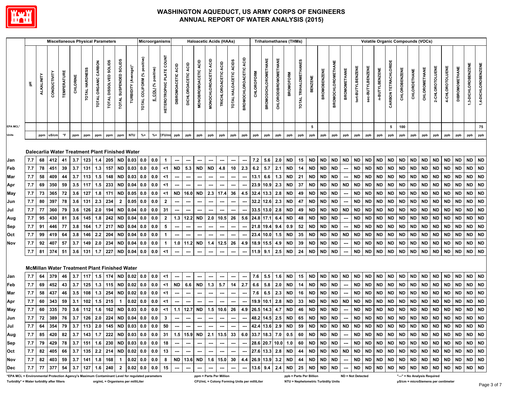

|                                                                                                 |     |                   | <b>Miscellaneous Physical Parameters</b>      |                   |          |                |                      |                        |                        |                                                                               |                             | Microorganisms       |                                            |                           |                               |                                       |                          | <b>Haloacetic Acids (HAAs)</b> |                          |                                  |            | <b>Trihalomethanes (THMs)</b> |                      |                  |                       |                         |                     |                           |                     |                  | <b>Volatile Organic Compounds (VOCs)</b> |                |                      |                      |                              |               |                 |                 |                       |           |                     |
|-------------------------------------------------------------------------------------------------|-----|-------------------|-----------------------------------------------|-------------------|----------|----------------|----------------------|------------------------|------------------------|-------------------------------------------------------------------------------|-----------------------------|----------------------|--------------------------------------------|---------------------------|-------------------------------|---------------------------------------|--------------------------|--------------------------------|--------------------------|----------------------------------|------------|-------------------------------|----------------------|------------------|-----------------------|-------------------------|---------------------|---------------------------|---------------------|------------------|------------------------------------------|----------------|----------------------|----------------------|------------------------------|---------------|-----------------|-----------------|-----------------------|-----------|---------------------|
|                                                                                                 |     | <b>ALKALINITY</b> | CONDUCTIVITY                                  | <b>TEMPERATUR</b> | CHLORINE | TOTAL HARDNESS | TOTAL ORGANIC CARBON | TOTAL DISSOLVED SOLIDS | TOTAL SUSPENDED SOLIDS | TURBIDITY (Average)                                                           | TOTAL COLIFORM (% positive) | E. COLI (% positive) | <b>COUNT</b><br><b>HETEROTROPHIC PLATE</b> | <b>DIBROMOACETIC ACID</b> | ACID<br><b>DICHLOROACETIC</b> | <b>ACID</b><br><b>MONOBROMOACETIC</b> | MONOCHLOROACETIC ACID    | TRICHLOROACETIC ACID           | TOTAL HALOACETIC ACIDS   | ACID<br><b>BROMOCHLOROACETIC</b> | CHLOROFORM | <b>BROMODICHLOROMETHANE</b>   | CHLORODIBROMOMETHANE | <b>BROMOFORM</b> | TOTAL TRIHALOMETHANES | <b>BENZENE</b>          | <b>BROMOBENZENE</b> | <b>BROMOCHLOROMETHANE</b> | <b>BROMOMETHANE</b> | tert-BUTYLBENZEN | sec-BUTYLBENZENE                         | n-BUTYLBENZENE | CARBON TETRACHLORIDE | <b>CHLOROBENZENE</b> | CHLOROETHANE                 | CHLOROMETHANE | 2-CHLOROTOLUENE | 4-CHLOROTOLUENE | <b>DIBROMOMETHANE</b> |           | 1,4-DICHLOROBENZENE |
| EPA MCL*                                                                                        |     |                   |                                               |                   |          |                |                      |                        |                        |                                                                               |                             |                      |                                            |                           |                               |                                       |                          |                                |                          |                                  |            |                               |                      |                  |                       | 5                       |                     |                           |                     |                  |                                          |                | 5                    | 100                  |                              |               |                 |                 |                       |           | 75                  |
| Units                                                                                           |     | ppm               | uS/cm                                         | $\mathsf{P}$      | ppm      | ppm            | ppm                  | ppm                    | ppm                    | <b>NTU</b>                                                                    | $% +$                       | $% +$                | CFU/mL                                     | ppb                       | ppb                           | ppb                                   | ppb                      | ppb                            | ppb                      | ppb                              | ppb        | ppb                           | ppb                  | ppb              | ppb                   | ppb                     | ppb                 | ppb                       | ppb                 | ppb              | ppb                                      | ppb            | ppb                  | ppb                  | ppb                          | ppb           | ppb             | ppb             | ppb                   | ppb       | ppb                 |
|                                                                                                 |     |                   |                                               |                   |          |                |                      |                        |                        | Dalecarlia Water Treatment Plant Finished Water                               |                             |                      |                                            |                           |                               |                                       |                          |                                |                          |                                  |            |                               |                      |                  |                       |                         |                     |                           |                     |                  |                                          |                |                      |                      |                              |               |                 |                 |                       |           |                     |
| Jan                                                                                             | 7.7 | 68                | 412                                           | 41                | 3.7      | 123            | 1.4                  |                        | 205 ND                 | 0.03                                                                          | 0.0                         | 0.0                  | $\mathbf{1}$                               | ---                       | ---                           | ---                                   |                          | ---                            | $\overline{\phantom{a}}$ | ---                              | 7.2        | 5.6                           | 2.0                  | <b>ND</b>        | 15                    | <b>ND</b>               | <b>ND</b>           | <b>ND</b>                 | <b>ND</b>           | <b>ND</b>        | <b>ND</b>                                | <b>ND</b>      | <b>ND</b>            | <b>ND</b>            | <b>ND</b>                    | <b>ND</b>     | <b>ND</b>       | <b>ND</b>       | <b>ND</b>             | <b>ND</b> | <b>ND</b>           |
| Feb                                                                                             | 7.7 | 78                | 451                                           | 39                | 3.7      | 131            | 1.3                  | 157                    | <b>ND</b>              | 0.03                                                                          | 0.0                         | 0.0                  | $<$ 1                                      | <b>ND</b>                 | 5.3                           | ND                                    | <b>ND</b>                | 4.8                            | 10                       | 2.3                              | 6.2        | 5.7                           | 2.1                  | ND               | 14                    | <b>ND</b>               | <b>ND</b>           | <b>ND</b>                 |                     | <b>ND</b>        | <b>ND</b>                                | <b>ND</b>      | <b>ND</b>            | <b>ND</b>            | <b>ND</b>                    | <b>ND</b>     | <b>ND</b>       | <b>ND</b>       | <b>ND</b>             | <b>ND</b> | <b>ND</b>           |
| Mar                                                                                             | 7.7 | 58                | 409                                           | 44                | 3.7      | 113            | 1.5                  | 148                    | <b>ND</b>              | 0.03                                                                          | 0.0                         | 0.0                  | <1                                         |                           |                               |                                       |                          | ---                            |                          |                                  | 13.1       | 6.6                           | 1.3                  | <b>ND</b>        | 21                    | <b>ND</b>               | ND                  | <b>ND</b>                 |                     | ND               | ND                                       | <b>ND</b>      | <b>ND</b>            | <b>ND</b>            | <b>ND</b>                    | ND            | <b>ND</b>       | <b>ND</b>       | <b>ND</b>             | ND        | <b>ND</b>           |
| Apr                                                                                             | 7.7 | 69                | 350                                           | 59                | 3.5      | 117            | 1.5                  | 233                    | <b>ND</b>              | 0.04                                                                          | 0.0                         | 0.0                  | <1                                         |                           |                               |                                       |                          |                                |                          |                                  | 23.9       | 10.9                          | 2.3                  | <b>ND</b>        | 37                    | <b>ND</b>               | <b>ND</b>           | <b>ND</b>                 | <b>ND</b>           | <b>ND</b>        | <b>ND</b>                                | <b>ND</b>      | <b>ND</b>            | <b>ND</b>            | <b>ND</b>                    | <b>ND</b>     | <b>ND</b>       | <b>ND</b>       | <b>ND</b>             | <b>ND</b> | ND                  |
| May                                                                                             | 7.7 | 73                | 365                                           | 72                | 3.6      | 127            | 1.8                  | 171                    | <b>ND</b>              | 0.05                                                                          | 0.0                         | 0.0                  | $<$ 1                                      | <b>ND</b>                 | 16.0                          | <b>ND</b>                             | 2.3                      | 17.4                           | 36                       | 4.5                              | 32.4       | 13.3                          | 2.8                  | <b>ND</b>        | 49                    | <b>ND</b>               | ND                  | <b>ND</b>                 |                     | <b>ND</b>        | ND                                       | <b>ND</b>      | <b>ND</b>            | <b>ND</b>            | <b>ND</b>                    | <b>ND</b>     | <b>ND</b>       | <b>ND</b>       | <b>ND</b>             | <b>ND</b> | <b>ND</b>           |
| Jun                                                                                             | 7.7 | 80                | 397                                           | 78                | 3.6      | 131            | 2.3                  | 234                    | $\mathbf{2}$           | 0.05                                                                          | 0.0                         | 0.0                  | $\overline{2}$                             |                           |                               |                                       |                          |                                |                          |                                  |            | 32.2 12.6                     | 2.3                  | ND               | 47                    | <b>ND</b>               | ND                  | <b>ND</b>                 |                     | <b>ND</b>        | ND                                       | <b>ND</b>      | <b>ND</b>            | <b>ND</b>            | <b>ND</b>                    | <b>ND</b>     | <b>ND</b>       | <b>ND</b>       | <b>ND</b>             | <b>ND</b> | <b>ND</b>           |
| Jul                                                                                             | 7.7 | 77                | 360                                           | 79                | 3.6      | 126            | 2.0                  | 194                    | <b>ND</b>              | 0.04                                                                          | 0.0                         | 0.0                  | 31                                         |                           |                               |                                       |                          |                                | ---                      | ---                              |            | $33.5$ 13.0                   | 2.8                  | <b>ND</b>        | 49                    | <b>ND</b>               | ND                  | <b>ND</b>                 | <b>ND</b>           | <b>ND</b>        | <b>ND</b>                                | <b>ND</b>      | ND                   | <b>ND</b>            | <b>ND</b>                    | <b>ND</b>     | <b>ND</b>       | <b>ND</b>       | <b>ND</b>             | ND ND     |                     |
| Aug                                                                                             | 7.7 | 95                | 430                                           | 81                | 3.6      | 145            | 1.8                  | 242                    | <b>ND</b>              | 0.04                                                                          | 0.0                         | 0.0                  | $\overline{2}$                             | $1.3$                     | 12.2                          | ND                                    | 2.0                      | 10.5                           | 26                       | 5.6                              | 24.8       | 17.1                          | 6.4                  | ND               | 48                    | <b>ND</b>               | ND                  | <b>ND</b>                 |                     | <b>ND</b>        | <b>ND</b>                                | <b>ND</b>      | <b>ND</b>            | <b>ND</b>            | <b>ND</b>                    | <b>ND</b>     | <b>ND</b>       | <b>ND</b>       | <b>ND</b>             | <b>ND</b> | ND                  |
| Sep                                                                                             | 7.7 | 91                | 446                                           | 77                | 3.8      | 164            | 1.7                  | 217                    | <b>ND</b>              | 0.04                                                                          | 0.0                         | 0.0                  | 5                                          |                           | ---                           | ---                                   | $\overline{\phantom{a}}$ | $\overline{\phantom{a}}$       | ---                      |                                  |            | 21.8 19.4                     | 9.4                  | 0.9              | 52                    | <b>ND</b>               | ND                  | <b>ND</b>                 |                     | <b>ND</b>        | <b>ND</b>                                | <b>ND</b>      | ND.                  | <b>ND</b>            | <b>ND</b>                    | <b>ND</b>     | <b>ND</b>       | <b>ND</b>       | <b>ND</b>             | <b>ND</b> | <b>ND</b>           |
| Oct                                                                                             | 7.7 | 99                | 419                                           | 64                | 3.8      | 146            | 2.2                  | 204                    | <b>ND</b>              | 0.04                                                                          | 0.0                         | 0.0                  | $\blacktriangleleft$                       | ---                       |                               | ---                                   | ---                      | ---                            | ---                      | ---                              |            | 23.4 10.0                     | 1.5                  | <b>ND</b>        | 35                    | <b>ND</b>               | <b>ND</b>           | <b>ND</b>                 | <b>ND</b>           | <b>ND</b>        | <b>ND</b>                                | <b>ND</b>      | <b>ND</b>            | <b>ND</b>            | <b>ND</b>                    | <b>ND</b>     | <b>ND</b>       | <b>ND</b>       | <b>ND</b>             | <b>ND</b> | ND                  |
| Nov                                                                                             | 7.7 | 92                | 407                                           | 57                | 3.7      | 149            | 2.0                  | 234                    | <b>ND</b>              | 0.04                                                                          | 0.0                         | 0.0                  | $\overline{1}$                             | 1.0                       | 11.2                          | ND                                    | 1.4                      | 12.5                           | 26                       |                                  | 4.9 18.9   | 15.5                          | 4.9                  | <b>ND</b>        | 39                    | <b>ND</b>               | ND                  | <b>ND</b>                 |                     | <b>ND</b>        | ND                                       | <b>ND</b>      | <b>ND</b>            | <b>ND</b>            | <b>ND</b>                    | <b>ND</b>     | ND.             | <b>ND</b>       | <b>ND</b>             | <b>ND</b> | <b>ND</b>           |
|                                                                                                 | 7.7 | 81                | 374                                           | 51                | 3.6      | 131            | 1.7                  | 227                    | <b>ND</b>              | 0.04                                                                          | 0.0                         | 0.0                  | <1                                         | ---                       | $\sim$                        | ---                                   | ---                      | $\hspace{0.05cm} \cdots$       | $\hspace{0.05cm} \cdots$ | ---                              | 11.9       | 9.1                           | 2.5                  | <b>ND</b>        | 24                    | <b>ND</b>               | ND                  | <b>ND</b>                 |                     | <b>ND</b>        | ND.                                      | <b>ND</b>      | ND.                  | <b>ND</b>            | <b>ND</b>                    | <b>ND</b>     | <b>ND</b>       | <b>ND</b>       | <b>ND</b>             | <b>ND</b> | <b>ND</b>           |
|                                                                                                 |     |                   | McMillan Water Treatment Plant Finished Water |                   |          |                |                      |                        |                        |                                                                               |                             |                      |                                            |                           |                               |                                       |                          |                                |                          |                                  |            |                               |                      |                  |                       |                         |                     |                           |                     |                  |                                          |                |                      |                      |                              |               |                 |                 |                       |           |                     |
| Jan                                                                                             | 7.7 | 64                | 379                                           | 46                | 3.7      | $117$ 1.5      |                      |                        | 174 ND                 | 0.02                                                                          | 0.0                         | 0.0                  | <1                                         | ---                       |                               |                                       |                          |                                |                          | ---                              | 7.6        | 5.5                           | 1.6                  | <b>ND</b>        | 15                    | <b>ND</b>               | <b>ND</b>           | <b>ND</b>                 | <b>ND</b>           | <b>ND</b>        | <b>ND</b>                                | <b>ND</b>      | <b>ND</b>            | <b>ND</b>            | <b>ND</b>                    | <b>ND</b>     | <b>ND</b>       | <b>ND</b>       | <b>ND</b>             | <b>ND</b> | <b>ND</b>           |
| Feb                                                                                             | 7.7 | 69                | 452                                           | 43                | 3.7      | 125            | 1.3                  | 115                    | <b>ND</b>              | 0.02                                                                          | 0.0                         | 0.0                  | $<$ 1                                      | <b>ND</b>                 | 6.6                           | <b>ND</b>                             | 1.3                      | 5.7                            | 14                       | 2.7                              | 6.6        | 5.8                           | 2.0                  | <b>ND</b>        | 14                    | <b>ND</b>               | <b>ND</b>           | <b>ND</b>                 |                     | <b>ND</b>        | <b>ND</b>                                | <b>ND</b>      | <b>ND</b>            | <b>ND</b>            | <b>ND</b>                    | <b>ND</b>     | <b>ND</b>       | <b>ND</b>       | <b>ND</b>             | <b>ND</b> | <b>ND</b>           |
| Mar                                                                                             | 7.7 | 58                | 437                                           | 46                | 3.5      | 108            | 1.3                  | 254                    | <b>ND</b>              | 0.02                                                                          | 0.0                         | 0.0                  | <1                                         |                           |                               |                                       |                          |                                |                          |                                  | 7.6        | 6.5                           | 2.3                  | <b>ND</b>        | 16                    | <b>ND</b>               | ND                  | <b>ND</b>                 |                     | <b>ND</b>        | ND                                       | <b>ND</b>      | <b>ND</b>            | <b>ND</b>            | <b>ND</b>                    | <b>ND</b>     | <b>ND</b>       | <b>ND</b>       | <b>ND</b>             | <b>ND</b> | <b>ND</b>           |
| Apr                                                                                             | 7.7 | 60                | 343                                           | 59                | 3.1      | 102            | 1.5                  | 215                    | $\mathbf{1}$           | 0.02                                                                          | 0.0                         | 0.0                  | <1                                         |                           |                               |                                       |                          |                                |                          |                                  | 19.9       | 10.1                          | 2.8                  | <b>ND</b>        | 33                    | <b>ND</b>               | ND                  | <b>ND</b>                 | <b>ND</b>           | <b>ND</b>        | <b>ND</b>                                | <b>ND</b>      | <b>ND</b>            | <b>ND</b>            | <b>ND</b>                    | <b>ND</b>     | <b>ND</b>       | <b>ND</b>       | <b>ND</b>             | <b>ND</b> | <b>ND</b>           |
| May                                                                                             | 7.7 | 60                | 335                                           | 70                | 3.6      | 112            | 1.6                  | 162                    | <b>ND</b>              | 0.03                                                                          | 0.0                         | 0.0                  | $<$ 1                                      | 1.1                       | 12.7                          | ND                                    | 1.5                      | 10.6                           | 26                       | 4.9                              |            | 26.5 14.3                     | 4.7                  | <b>ND</b>        | 46                    | <b>ND</b>               | ND                  | <b>ND</b>                 |                     | <b>ND</b>        | ND                                       | <b>ND</b>      | ND                   | <b>ND</b>            | ND                           | <b>ND</b>     | <b>ND</b>       | <b>ND</b>       | <b>ND</b>             | <b>ND</b> | <b>ND</b>           |
| Jun                                                                                             | 7.7 | 72                | 389                                           | 76                | 3.7      | 126            | 2.0                  | 224                    | <b>ND</b>              | 0.04                                                                          | 0.0                         | 0.0                  | $\mathbf{3}$                               | ---                       | $\hspace{0.05cm} \ldots$      | ---                                   | ---                      | $\hspace{0.05cm} \cdots$       | ---                      | $\sim$                           |            | 48.2 14.5 2.5                 |                      | <b>ND</b>        | 65                    | ND                      | <b>ND</b>           | <b>ND</b>                 | $\sim$              | <b>ND</b>        | <b>ND</b>                                | <b>ND</b>      | <b>ND</b>            | <b>ND</b>            | <b>ND</b>                    | <b>ND</b>     | <b>ND</b>       | <b>ND</b>       | <b>ND</b>             | <b>ND</b> | ND                  |
| Jul                                                                                             |     |                   |                                               |                   |          |                |                      |                        |                        | 7.7   64   354   79   3.7   113   2.0   145   ND  0.03   0.0   0.0   50       |                             |                      |                                            |                           | $-1 - 1$                      |                                       |                          |                                |                          |                                  |            |                               |                      |                  |                       |                         |                     |                           |                     |                  |                                          |                |                      |                      |                              |               |                 |                 |                       |           |                     |
| Aug                                                                                             |     |                   |                                               |                   |          |                |                      |                        |                        |                                                                               |                             |                      |                                            |                           |                               |                                       |                          |                                |                          |                                  |            |                               |                      |                  |                       |                         |                     |                           |                     |                  |                                          |                |                      |                      |                              |               |                 |                 |                       |           |                     |
| Sep                                                                                             |     |                   |                                               |                   |          |                |                      |                        |                        | $ 7.7 79 429 78 3.7 151 1.6 230 ND 0.03 0.0 0.0 18   $                        |                             |                      |                                            |                           |                               |                                       |                          |                                |                          |                                  |            |                               |                      |                  |                       |                         |                     |                           |                     |                  |                                          |                |                      |                      |                              |               |                 |                 |                       |           |                     |
| Oct                                                                                             |     |                   |                                               |                   |          |                |                      |                        |                        |                                                                               |                             |                      |                                            |                           |                               |                                       |                          |                                |                          |                                  |            |                               |                      |                  |                       |                         |                     |                           |                     |                  |                                          |                |                      |                      |                              |               |                 |                 |                       |           |                     |
| Nov                                                                                             |     |                   |                                               |                   |          |                |                      |                        |                        |                                                                               |                             |                      |                                            |                           |                               |                                       |                          |                                |                          |                                  |            |                               |                      |                  |                       |                         |                     |                           |                     |                  |                                          |                |                      |                      |                              |               |                 |                 |                       |           |                     |
| Dec                                                                                             |     |                   |                                               |                   |          |                |                      |                        |                        | 7.7   77   377   54   3.7   127   1.6   240   2   0.02   0.0   0.0   15   --- |                             |                      |                                            |                           | . 1                           |                                       |                          |                                |                          |                                  |            |                               |                      |                  |                       |                         |                     |                           |                     |                  |                                          |                |                      |                      |                              |               |                 |                 |                       |           |                     |
| *EPA MCL = Environmental Protection Agency's Maximum Contaminant Level for regulated parameters |     |                   |                                               |                   |          |                |                      |                        |                        |                                                                               |                             |                      |                                            |                           |                               |                                       |                          | ppm = Parts Per Million        |                          |                                  |            |                               |                      |                  |                       | ppb = Parts Per Billion |                     |                           | ND = Not Detected   |                  |                                          |                |                      |                      | "---" = No Analysis Required |               |                 |                 |                       |           |                     |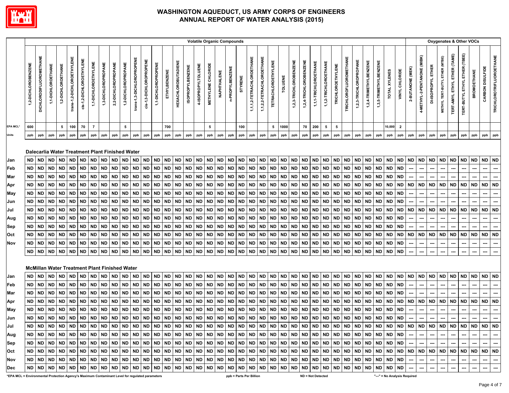

|                 | Oxygenates & Other VOCs<br><b>Volatile Organic Compounds</b> |                         |                    |                    |                            |                          |                      |                     |                     |                                                                                                                                                                                                                             |                           |                         |                     |              |                            |                         |                    |                           |             |                 |           |                           |                           |                            |           |                        |                        |                       |                       |                          |                               |                        |                        |                        |               |                |                  |                             |                              |                                |                                     |                               |                          |                          |                                 |
|-----------------|--------------------------------------------------------------|-------------------------|--------------------|--------------------|----------------------------|--------------------------|----------------------|---------------------|---------------------|-----------------------------------------------------------------------------------------------------------------------------------------------------------------------------------------------------------------------------|---------------------------|-------------------------|---------------------|--------------|----------------------------|-------------------------|--------------------|---------------------------|-------------|-----------------|-----------|---------------------------|---------------------------|----------------------------|-----------|------------------------|------------------------|-----------------------|-----------------------|--------------------------|-------------------------------|------------------------|------------------------|------------------------|---------------|----------------|------------------|-----------------------------|------------------------------|--------------------------------|-------------------------------------|-------------------------------|--------------------------|--------------------------|---------------------------------|
|                 | 1,2-DICHLOROBENZENE                                          | DICHLORODIFLUOROMETHANE | 1,1-DICHLOROETHANE | 1,2-DICHLOROETHANE | trans-1,2-DICHLOROETHYLENE | cis-1,2-DICHLOROETHYLENE | 1,1-DICHLOROETHYLENE | 1,3-DICHLOROPROPANE | 2,2-DICHLOROPROPANE | 1,2-DICHLOROPROPANE                                                                                                                                                                                                         | trans-1,3-DICHLOROPROPENE | cis-1,3-DICHLOROPROPENE | 1,1-DICHLOROPROPENE | ETHYLBENZENE | <b>HEXACHLOROBUTADIENE</b> | <b>ISOPROPYLBENZENE</b> | 4-ISOPROPYLTOLUENE | <b>METHYLENE CHLORIDE</b> | NAPHTHALENE | n-PROPYLBENZENE | STYRENE   | 1,1,1,2-TETRACHLOROETHANE | 1,1,2,2-TETRACHLOROETHANE | <b>TETRACHLOROETHYLENE</b> | TOLUENE   | 1,2,3-TRICHLOROBENZENE | 1,2,4-TRICHLOROBENZENE | 1,1,1-TRICHLOROETHANE | 1,1,2-TRICHLOROETHANE | <b>TRICHLOROETHYLENE</b> | <b>TRICHLOROFLUOROMETHANE</b> | 1,2,3-TRICHLOROPROPANE | 1,2,4-TRIMETHYLBENZENE | 1,3,5-TRIMETHYLBENZENE | TOTAL XYLENES | VINYL CHLORIDE | 2-BUTANONE (MEK) | 4-METHYL-2-PENTANONE (MIBK) | ETHER<br><b>DI-ISOPROPYL</b> | METHYL TERT-BUTYL ETHER (MTBE) | <b>TERT-AMYL ETHYL ETHER (TAME)</b> | TERT-BUTYL ETHYL ETHER (TBEE) | <b>BROMOETHANE</b>       | CARBON DISULFIDE         | <b>TRICHLOROTRIFLUOROETHANE</b> |
| <b>EPA MCL*</b> | 600                                                          |                         |                    | 5                  | 100                        | 70                       | $\overline{7}$       |                     |                     | 5                                                                                                                                                                                                                           |                           |                         |                     | 700          |                            |                         |                    | 5                         |             |                 | 100       |                           |                           | 5                          | 1000      |                        | 70                     | 200                   | 5                     | 5                        |                               |                        |                        |                        | 10,000        | $\overline{2}$ |                  |                             |                              |                                |                                     |                               |                          |                          |                                 |
| Units           | ppb                                                          | ppb                     | ppb                | ppb                | ppb                        | ppb                      | ppb                  | ppb                 | ppb                 | ppb                                                                                                                                                                                                                         | ppb                       | ppb                     | ppb                 | ppb          | ppb                        | ppb                     | ppb                | ppb                       | ppb         | ppb             | ppb       | ppb                       | ppb                       | ppb                        | ppb       | ppb                    | ppb                    | ppb                   | ppb                   | ppb                      | ppb                           | ppb                    | ppb                    | ppb                    | ppb           | ppb            | ppb              | ppb                         | ppb                          | ppb                            | ppb                                 | ppb                           | ppb                      | ppb                      | ppb                             |
|                 |                                                              |                         |                    |                    |                            |                          |                      |                     |                     |                                                                                                                                                                                                                             |                           |                         |                     |              |                            |                         |                    |                           |             |                 |           |                           |                           |                            |           |                        |                        |                       |                       |                          |                               |                        |                        |                        |               |                |                  |                             |                              |                                |                                     |                               |                          |                          |                                 |
|                 |                                                              |                         |                    |                    |                            |                          |                      |                     |                     | Dalecarlia Water Treatment Plant Finished Water                                                                                                                                                                             |                           |                         |                     |              |                            |                         |                    |                           |             |                 |           |                           |                           |                            |           |                        |                        |                       |                       |                          |                               |                        |                        |                        |               |                |                  |                             |                              |                                |                                     |                               |                          |                          |                                 |
| Jan             | ND.                                                          | <b>ND</b>               | <b>ND</b>          | <b>ND</b>          | <b>ND</b>                  | ND                       | <b>ND</b>            | <b>ND</b>           | <b>ND</b>           | <b>ND</b>                                                                                                                                                                                                                   | ND                        | ND                      | <b>ND</b>           | ND           | <b>ND</b>                  | <b>ND</b>               | <b>ND</b>          | <b>ND</b>                 | ND          | <b>ND</b>       | ND        | <b>ND</b>                 | <b>ND</b>                 | ND                         | ND        | <b>ND</b>              | <b>ND</b>              | <b>ND</b>             | ND                    | <b>ND</b>                | <b>ND</b>                     | <b>ND</b>              | <b>ND</b>              | <b>ND</b>              | <b>ND</b>     | <b>ND</b>      | <b>ND</b>        | ND                          | <b>ND</b>                    | <b>ND</b>                      | <b>ND</b>                           | <b>ND</b>                     | <b>ND</b>                | ND.                      | <b>ND</b>                       |
| Feb             | ND                                                           | <b>ND</b>               | <b>ND</b>          | <b>ND</b>          | <b>ND</b>                  | <b>ND</b>                | <b>ND</b>            | <b>ND</b>           | <b>ND</b>           | <b>ND</b>                                                                                                                                                                                                                   | <b>ND</b>                 | <b>ND</b>               | <b>ND</b>           | <b>ND</b>    | <b>ND</b>                  | <b>ND</b>               | <b>ND</b>          | <b>ND</b>                 | <b>ND</b>   | <b>ND</b>       | <b>ND</b> | <b>ND</b>                 | <b>ND</b>                 | <b>ND</b>                  | <b>ND</b> | <b>ND</b>              | <b>ND</b>              | <b>ND</b>             | <b>ND</b>             | <b>ND</b>                | <b>ND</b>                     | <b>ND</b>              | <b>ND</b>              | <b>ND</b>              | <b>ND</b>     | <b>ND</b>      | ---              | ---                         | ---                          | ---                            | ---                                 | ---                           | $\hspace{0.05cm} \cdots$ | ---                      | ---                             |
| Mar             | ND                                                           | <b>ND</b>               | <b>ND</b>          | ND                 | <b>ND</b>                  | ND                       | <b>ND</b>            | <b>ND</b>           | <b>ND</b>           | <b>ND</b>                                                                                                                                                                                                                   | <b>ND</b>                 | ND.                     | <b>ND</b>           | <b>ND</b>    | <b>ND</b>                  | <b>ND</b>               | <b>ND</b>          | <b>ND</b>                 | ND.         | <b>ND</b>       | ND        | <b>ND</b>                 | ND                        | ND.                        | ND        | <b>ND</b>              | <b>ND</b>              | <b>ND</b>             | <b>ND</b>             | <b>ND</b>                | <b>ND</b>                     | <b>ND</b>              | <b>ND</b>              | <b>ND</b>              | <b>ND</b>     | <b>ND</b>      |                  |                             |                              |                                |                                     |                               |                          | ---                      | ---                             |
| Apr             | ND                                                           | <b>ND</b>               | <b>ND</b>          | ND                 | <b>ND</b>                  | <b>ND</b>                | <b>ND</b>            | <b>ND</b>           | <b>ND</b>           | <b>ND</b>                                                                                                                                                                                                                   | <b>ND</b>                 | <b>ND</b>               | <b>ND</b>           | <b>ND</b>    | <b>ND</b>                  | <b>ND</b>               | ND                 | <b>ND</b>                 | ND          | <b>ND</b>       | <b>ND</b> | <b>ND</b>                 | ND                        | <b>ND</b>                  | <b>ND</b> | <b>ND</b>              | <b>ND</b>              | <b>ND</b>             | <b>ND</b>             | <b>ND</b>                | <b>ND</b>                     | <b>ND</b>              | <b>ND</b>              | ND                     | <b>ND</b>     | <b>ND</b>      | <b>ND</b>        | <b>ND</b>                   | ND                           | <b>ND</b>                      | <b>ND</b>                           | <b>ND</b>                     | ND                       | ND                       | <b>ND</b>                       |
| May             | <b>ND</b>                                                    | <b>ND</b>               | <b>ND</b>          | <b>ND</b>          | <b>ND</b>                  | <b>ND</b>                | <b>ND</b>            | <b>ND</b>           | <b>ND</b>           | <b>ND</b>                                                                                                                                                                                                                   | <b>ND</b>                 | <b>ND</b>               | <b>ND</b>           | <b>ND</b>    | <b>ND</b>                  | <b>ND</b>               | <b>ND</b>          | <b>ND</b>                 | <b>ND</b>   | <b>ND</b>       | <b>ND</b> | <b>ND</b>                 | <b>ND</b>                 | <b>ND</b>                  | <b>ND</b> | <b>ND</b>              | <b>ND</b>              | <b>ND</b>             | <b>ND</b>             | <b>ND</b>                | <b>ND</b>                     | <b>ND</b>              | <b>ND</b>              | <b>ND</b>              | <b>ND</b>     | <b>ND</b>      | ---              | ---                         | ---                          |                                | ---                                 | ---                           |                          | ---                      | ---                             |
| Jun             | <b>ND</b>                                                    | <b>ND</b>               | <b>ND</b>          | <b>ND</b>          | <b>ND</b>                  | ND                       | <b>ND</b>            | <b>ND</b>           | <b>ND</b>           | <b>ND</b>                                                                                                                                                                                                                   | <b>ND</b>                 | ND                      | <b>ND</b>           | <b>ND</b>    | <b>ND</b>                  | <b>ND</b>               | <b>ND</b>          | <b>ND</b>                 | <b>ND</b>   | <b>ND</b>       | <b>ND</b> | <b>ND</b>                 | <b>ND</b>                 | ND.                        | ND        | <b>ND</b>              | <b>ND</b>              | <b>ND</b>             | ND.                   | <b>ND</b>                | <b>ND</b>                     | <b>ND</b>              | <b>ND</b>              | <b>ND</b>              | ND            | ND             |                  |                             |                              |                                |                                     |                               |                          |                          |                                 |
| Jul             | <b>ND</b>                                                    | <b>ND</b>               | <b>ND</b>          | <b>ND</b>          | <b>ND</b>                  | <b>ND</b>                | <b>ND</b>            | <b>ND</b>           | <b>ND</b>           | <b>ND</b>                                                                                                                                                                                                                   | <b>ND</b>                 | <b>ND</b>               | <b>ND</b>           | <b>ND</b>    | <b>ND</b>                  | <b>ND</b>               | <b>ND</b>          | <b>ND</b>                 | <b>ND</b>   | <b>ND</b>       | <b>ND</b> | <b>ND</b>                 | <b>ND</b>                 | ND.                        | <b>ND</b> | <b>ND</b>              | <b>ND</b>              | <b>ND</b>             | ND                    | <b>ND</b>                | <b>ND</b>                     | <b>ND</b>              | <b>ND</b>              | <b>ND</b>              | <b>ND</b>     | <b>ND</b>      | <b>ND</b>        | <b>ND</b>                   | <b>ND</b>                    | <b>ND</b>                      | <b>ND</b>                           | <b>ND</b>                     | ND                       | <b>ND</b>                | <b>ND</b>                       |
| Aug             | <b>ND</b>                                                    | <b>ND</b>               | <b>ND</b>          | <b>ND</b>          | <b>ND</b>                  | <b>ND</b>                | <b>ND</b>            | <b>ND</b>           | <b>ND</b>           | <b>ND</b>                                                                                                                                                                                                                   | <b>ND</b>                 | <b>ND</b>               | <b>ND</b>           | <b>ND</b>    | <b>ND</b>                  | <b>ND</b>               | <b>ND</b>          | <b>ND</b>                 | <b>ND</b>   | <b>ND</b>       | <b>ND</b> | ND                        | <b>ND</b>                 | <b>ND</b>                  | <b>ND</b> | <b>ND</b>              | <b>ND</b>              | <b>ND</b>             | <b>ND</b>             | <b>ND</b>                | <b>ND</b>                     | <b>ND</b>              | <b>ND</b>              | <b>ND</b>              | <b>ND</b>     | ND             |                  | ---                         | ---                          | ---                            | ---                                 |                               | ---                      | ---                      | ---                             |
| Sep             | <b>ND</b>                                                    | <b>ND</b>               | <b>ND</b>          | <b>ND</b>          | <b>ND</b>                  | <b>ND</b>                | <b>ND</b>            | <b>ND</b>           | <b>ND</b>           | <b>ND</b>                                                                                                                                                                                                                   | <b>ND</b>                 | <b>ND</b>               | <b>ND</b>           | <b>ND</b>    | <b>ND</b>                  | <b>ND</b>               | <b>ND</b>          | <b>ND</b>                 | <b>ND</b>   | <b>ND</b>       | ND        | <b>ND</b>                 | <b>ND</b>                 | ND                         | <b>ND</b> | <b>ND</b>              | <b>ND</b>              | <b>ND</b>             | <b>ND</b>             | <b>ND</b>                | <b>ND</b>                     | <b>ND</b>              | <b>ND</b>              | <b>ND</b>              | <b>ND</b>     | ND             |                  |                             |                              |                                |                                     |                               |                          | ---                      | ---                             |
| Oct             | <b>ND</b>                                                    | <b>ND</b>               | <b>ND</b>          | <b>ND</b>          | <b>ND</b>                  | ND                       | <b>ND</b>            | <b>ND</b>           | <b>ND</b>           | <b>ND</b>                                                                                                                                                                                                                   | <b>ND</b>                 | <b>ND</b>               | <b>ND</b>           | ND           | <b>ND</b>                  | <b>ND</b>               | <b>ND</b>          | <b>ND</b>                 | ND          | <b>ND</b>       | <b>ND</b> | <b>ND</b>                 | <b>ND</b>                 | ND.                        | <b>ND</b> | <b>ND</b>              | <b>ND</b>              | <b>ND</b>             | ND.                   | <b>ND</b>                | <b>ND</b>                     | <b>ND</b>              | <b>ND</b>              | ND                     | <b>ND</b>     | <b>ND</b>      | <b>ND</b>        | <b>ND</b>                   | <b>ND</b>                    | <b>ND</b>                      | <b>ND</b>                           | <b>ND</b>                     | <b>ND</b>                | <b>ND</b>                | <b>ND</b>                       |
| Nov             | ND                                                           | <b>ND</b>               | ND                 | <b>ND</b>          | ND                         | ND                       | <b>ND</b>            | <b>ND</b>           | <b>ND</b>           | ND                                                                                                                                                                                                                          | ND                        | <b>ND</b>               | <b>ND</b>           | <b>ND</b>    | <b>ND</b>                  | ND                      | ND                 | ND                        | ND          | ND              | <b>ND</b> | ND                        | ND                        | ND                         | ND        | <b>ND</b>              | ND                     | <b>ND</b>             | ND.                   | ND                       | <b>ND</b>                     | ND                     | <b>ND</b>              | ND                     | <b>ND</b>     | ND             | ---              |                             | ---                          | ---                            | ---                                 | ---                           |                          | ---                      | ---                             |
|                 | ND                                                           | <b>ND</b>               | <b>ND</b>          | <b>ND</b>          | <b>ND</b>                  | <b>ND</b>                | <b>ND</b>            | <b>ND</b>           | <b>ND</b>           | <b>ND</b>                                                                                                                                                                                                                   | <b>ND</b>                 | <b>ND</b>               | <b>ND</b>           | <b>ND</b>    | <b>ND</b>                  | <b>ND</b>               | <b>ND</b>          | <b>ND</b>                 | ND          | <b>ND</b>       | <b>ND</b> | <b>ND</b>                 | <b>ND</b>                 | ND                         | <b>ND</b> | <b>ND</b>              | <b>ND</b>              | <b>ND</b>             | ND                    | <b>ND</b>                | <b>ND</b>                     | <b>ND</b>              | <b>ND</b>              | <b>ND</b>              | <b>ND</b>     | <b>ND</b>      | ---              |                             |                              |                                | ---                                 | ---                           | ---                      | ---                      | ---                             |
|                 |                                                              |                         |                    |                    |                            |                          |                      |                     |                     |                                                                                                                                                                                                                             |                           |                         |                     |              |                            |                         |                    |                           |             |                 |           |                           |                           |                            |           |                        |                        |                       |                       |                          |                               |                        |                        |                        |               |                |                  |                             |                              |                                |                                     |                               |                          |                          |                                 |
|                 |                                                              |                         |                    |                    |                            |                          |                      |                     |                     | <b>McMillan Water Treatment Plant Finished Water</b>                                                                                                                                                                        |                           |                         |                     |              |                            |                         |                    |                           |             |                 |           |                           |                           |                            |           |                        |                        |                       |                       |                          |                               |                        |                        |                        |               |                |                  |                             |                              |                                |                                     |                               |                          |                          |                                 |
| Jan             | <b>ND</b>                                                    | <b>ND</b>               | <b>ND</b>          | ND                 | ND                         | ND                       | <b>ND</b>            | <b>ND</b>           | <b>ND</b>           | <b>ND</b>                                                                                                                                                                                                                   | <b>ND</b>                 | ND                      | <b>ND</b>           | <b>ND</b>    | <b>ND</b>                  | <b>ND</b>               | <b>ND</b>          | <b>ND</b>                 | ND          | <b>ND</b>       | <b>ND</b> | <b>ND</b>                 | <b>ND</b>                 | ND.                        | <b>ND</b> | <b>ND</b>              | ND                     | <b>ND</b>             | <b>ND</b>             | <b>ND</b>                | <b>ND</b>                     | <b>ND</b>              | <b>ND</b>              | <b>ND</b>              | ND ND         |                | <b>ND</b>        | <b>ND</b>                   | <b>ND</b>                    | <b>ND</b>                      | <b>ND</b>                           | <b>ND</b>                     | <b>ND</b>                | ND.                      | <b>ND</b>                       |
| Feb             | <b>ND</b>                                                    | <b>ND</b>               | <b>ND</b>          | <b>ND</b>          | <b>ND</b>                  | <b>ND</b>                | <b>ND</b>            | <b>ND</b>           | <b>ND</b>           | <b>ND</b>                                                                                                                                                                                                                   | <b>ND</b>                 | <b>ND</b>               | <b>ND</b>           | <b>ND</b>    | <b>ND</b>                  | <b>ND</b>               | <b>ND</b>          | <b>ND</b>                 | ND          | <b>ND</b>       | <b>ND</b> | <b>ND</b>                 | <b>ND</b>                 | <b>ND</b>                  | <b>ND</b> | <b>ND</b>              | <b>ND</b>              | <b>ND</b>             | <b>ND</b>             | ND                       | <b>ND</b>                     | <b>ND</b>              | <b>ND</b>              | <b>ND</b>              | <b>ND</b>     | <b>ND</b>      |                  |                             |                              |                                |                                     |                               |                          | ---                      | ---                             |
| Mar             | <b>ND</b>                                                    | <b>ND</b>               | <b>ND</b>          | <b>ND</b>          | <b>ND</b>                  | ND                       | ND                   | <b>ND</b>           | <b>ND</b>           | <b>ND</b>                                                                                                                                                                                                                   | <b>ND</b>                 | ND                      | <b>ND</b>           | <b>ND</b>    | <b>ND</b>                  | <b>ND</b>               | <b>ND</b>          | <b>ND</b>                 | ND          | <b>ND</b>       | <b>ND</b> | <b>ND</b>                 | <b>ND</b>                 | ND                         | ND        | <b>ND</b>              | <b>ND</b>              | <b>ND</b>             | ND.                   | ND                       | <b>ND</b>                     | <b>ND</b>              | <b>ND</b>              | ND                     | <b>ND</b>     | <b>ND</b>      |                  |                             |                              |                                |                                     |                               |                          |                          |                                 |
| Apr             | <b>ND</b>                                                    | <b>ND</b>               | <b>ND</b>          | <b>ND</b>          | <b>ND</b>                  | ND                       | <b>ND</b>            | <b>ND</b>           | <b>ND</b>           | <b>ND</b>                                                                                                                                                                                                                   | <b>ND</b>                 | ND                      | <b>ND</b>           | ND           | <b>ND</b>                  | <b>ND</b>               | ND                 | <b>ND</b>                 | ND          | <b>ND</b>       | <b>ND</b> | <b>ND</b>                 | <b>ND</b>                 | ND                         | ND        | <b>ND</b>              | <b>ND</b>              | <b>ND</b>             | ND                    | ND                       | <b>ND</b>                     | <b>ND</b>              | <b>ND</b>              | <b>ND</b>              | ND            | <b>ND</b>      | <b>ND</b>        | <b>ND</b>                   | <b>ND</b>                    | <b>ND</b>                      | <b>ND</b>                           | <b>ND</b>                     | <b>ND</b>                | <b>ND</b>                | <b>ND</b>                       |
| May             | <b>ND</b>                                                    | <b>ND</b>               | <b>ND</b>          | <b>ND</b>          | <b>ND</b>                  | <b>ND</b>                | <b>ND</b>            | <b>ND</b>           | <b>ND</b>           | <b>ND</b>                                                                                                                                                                                                                   | <b>ND</b>                 | <b>ND</b>               | <b>ND</b>           | <b>ND</b>    | <b>ND</b>                  | <b>ND</b>               | <b>ND</b>          | <b>ND</b>                 | <b>ND</b>   | <b>ND</b>       | <b>ND</b> | <b>ND</b>                 | <b>ND</b>                 | ND.                        | <b>ND</b> | <b>ND</b>              | <b>ND</b>              | <b>ND</b>             | <b>ND</b>             | <b>ND</b>                | <b>ND</b>                     | <b>ND</b>              | <b>ND</b>              | <b>ND</b>              | <b>ND</b>     | <b>ND</b>      |                  | ---                         |                              |                                | ---                                 |                               | ---                      | ---                      | ---                             |
| Jun             | <b>ND</b>                                                    | <b>ND</b>               | <b>ND</b>          | <b>ND</b>          | <b>ND</b>                  | <b>ND</b>                | <b>ND</b>            | <b>ND</b>           | <b>ND</b>           | <b>ND</b>                                                                                                                                                                                                                   | <b>ND</b>                 | <b>ND</b>               | <b>ND</b>           | <b>ND</b>    | <b>ND</b>                  | <b>ND</b>               | <b>ND</b>          | <b>ND</b>                 | <b>ND</b>   | <b>ND</b>       | <b>ND</b> | <b>ND</b>                 | <b>ND</b>                 | <b>ND</b>                  | <b>ND</b> | <b>ND</b>              | <b>ND</b>              | <b>ND</b>             | <b>ND</b>             | <b>ND</b>                | <b>ND</b>                     | <b>ND</b>              | <b>ND</b>              | <b>ND</b>              | ND            | <b>ND</b>      |                  |                             |                              |                                |                                     |                               |                          | ---                      |                                 |
| Jul             |                                                              |                         |                    |                    |                            |                          |                      |                     |                     |                                                                                                                                                                                                                             |                           |                         |                     |              |                            |                         |                    |                           |             |                 |           |                           |                           |                            |           |                        |                        |                       |                       |                          |                               |                        |                        |                        |               |                |                  |                             |                              |                                |                                     |                               |                          |                          |                                 |
| Aug             |                                                              |                         |                    |                    |                            |                          |                      |                     |                     |                                                                                                                                                                                                                             |                           |                         |                     |              |                            |                         |                    |                           |             |                 |           |                           |                           |                            |           |                        |                        |                       |                       |                          |                               |                        |                        |                        |               |                |                  |                             | $\sim$                       | $\sim$                         | --- 1                               | $\sim$                        | $\sim$                   | $\sim$                   | $\sim$                          |
| Sep             |                                                              |                         |                    |                    |                            |                          |                      |                     |                     | ---   ---   ---   סוא   סוא   סוא   סוא   סוא   סוא   סוא   סוא   סוא   סוא   סוא   סוא   סוא   סוא   סוא   סוא   סוא   סוא   סוא   סוא   סוא   סוא   סוא   סוא   סוא   סוא   סוא   סוא   סוא   סוא   סוא   סוא   סוא   סוא |                           |                         |                     |              |                            |                         |                    |                           |             |                 |           |                           |                           |                            |           |                        |                        |                       |                       |                          |                               |                        |                        |                        |               |                |                  |                             | $-$                          | $\sim$                         |                                     |                               |                          |                          |                                 |
| Oct             |                                                              |                         |                    |                    |                            |                          |                      |                     |                     |                                                                                                                                                                                                                             |                           |                         |                     |              |                            |                         |                    |                           |             |                 |           |                           |                           |                            |           |                        |                        |                       |                       |                          |                               |                        |                        |                        |               |                |                  |                             |                              |                                |                                     |                               |                          |                          |                                 |
| Nov             |                                                              |                         |                    |                    |                            |                          |                      |                     |                     |                                                                                                                                                                                                                             |                           |                         |                     |              |                            |                         |                    |                           |             |                 |           |                           |                           |                            |           |                        |                        |                       |                       |                          |                               |                        |                        |                        |               |                | $\sim$           | $\sim$                      | $\sim$                       | ---                            | ---                                 | $\overline{a}$                | $\overline{\phantom{a}}$ | $\hspace{0.05cm} \ldots$ | $\sim$                          |
| Dec             |                                                              |                         |                    |                    |                            |                          |                      |                     |                     |                                                                                                                                                                                                                             |                           |                         |                     |              |                            |                         |                    |                           |             |                 |           |                           |                           |                            |           |                        |                        |                       |                       |                          |                               |                        |                        |                        |               |                |                  | $\overline{\phantom{a}}$    | $\hspace{0.05cm} \cdots$     | ---                            | $\overline{\phantom{a}}$            | ---                           | $\hspace{0.05cm} \cdots$ | $\overline{\phantom{a}}$ | $\sim$                          |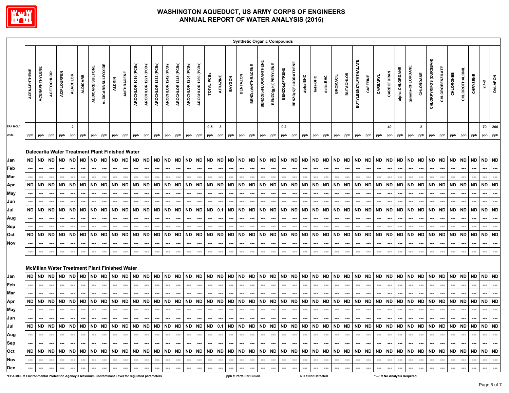

|                                                                                                 |                     |                       |                   |                          |                 |                          |                  |                                                              |               |                  |                      |                          |                      |                      |                             |                      |                          |                          |                          |                          |                 |                          |                          | <b>Synthetic Organic Compounds</b> |                          |                            |                             |                   |           |                          |                  |                          |           |           |            |                              |                 |              |                        |                                                                                                     |                          |                          |           |           |                         |
|-------------------------------------------------------------------------------------------------|---------------------|-----------------------|-------------------|--------------------------|-----------------|--------------------------|------------------|--------------------------------------------------------------|---------------|------------------|----------------------|--------------------------|----------------------|----------------------|-----------------------------|----------------------|--------------------------|--------------------------|--------------------------|--------------------------|-----------------|--------------------------|--------------------------|------------------------------------|--------------------------|----------------------------|-----------------------------|-------------------|-----------|--------------------------|------------------|--------------------------|-----------|-----------|------------|------------------------------|-----------------|--------------|------------------------|-----------------------------------------------------------------------------------------------------|--------------------------|--------------------------|-----------|-----------|-------------------------|
|                                                                                                 | <b>ACENAPHTHENE</b> | <b>ACENAPHTHYLENE</b> | <b>ACETOCHLOR</b> | <b>ACIFLOURFEN</b>       | <b>ALACHLOR</b> | <b>ALDICARB</b>          | ALDICARB SULFONE | ALDICARB SULFOXIDE                                           | <b>ALDRIN</b> | ANTHRACENE       | AROCHLOR 1016 (PCBs) | AROCHLOR 1221 (PCBs)     | AROCHLOR 1232 (PCBs) | AROCHLOR 1242 (PCBs) | AROCHLOR 1248 (PCBs)        | AROCHLOR 1254 (PCBs) | AROCHLOR 1260 (PCBs)     | TOTAL PCBs               | <b>ATRAZINE</b>          | BAYGON                   | <b>BENTAZON</b> | BENZ(a)ANTHRACENE        | BENZO(b)FLUORANTHENE     | <b>BENZO(g,h,I)PERYLENE</b>        | BENZO(a)PYRENE           | <b>BENZO(K)FLUORATHENE</b> | alpha-BHC                   | beta-BHC          | delta-BHC | <b>BROMACIL</b>          | <b>BUTACHLOR</b> | BUTYLBENZYLPHTHALATE     | CAFFEINE  | CARBARYL  | CARBOFURAN | alpha-CHLORDANE              | gamma-CHLORDANE | CHLORDANE    | CHLORPYRIFOS (DURSBAN) | <b>CHLOROBENZILATE</b>                                                                              | CHLORONEB                | <b>CHLOROTHALONIL</b>    | CHRYSENE  | $2,4 - D$ | <b>DALAPON</b>          |
| <b>EPA MCL*</b>                                                                                 |                     |                       |                   |                          | $\mathbf{2}$    |                          |                  |                                                              |               |                  |                      |                          |                      |                      |                             |                      |                          | 0.5                      | $\boldsymbol{\cdot}$     |                          |                 |                          |                          |                                    | 0.2                      |                            |                             |                   |           |                          |                  |                          |           |           | 40         |                              |                 | $\mathbf{2}$ |                        |                                                                                                     |                          |                          |           | 70        | 200                     |
| Units                                                                                           | ppb                 | ppb                   | ppb               | ppb                      | ppb             | ppb                      | ppb              | ppb                                                          | ppb           | ppb              | ppb                  | ppb                      | ppb                  | ppb                  | ppb                         | ppb                  | ppb                      | ppb                      | ppb                      | ppb                      | ppb             | ppb                      | ppb                      | ppb                                | ppb                      | ppb                        | ppb                         | ppb               | ppb       | ppb                      | ppb              | ppb                      | ppb       | ppb       | ppb        | ppb                          | ppb             | ppb          | ppb                    | ppb                                                                                                 | ppb                      | ppb                      | ppb       | ppb       | ppb                     |
| Jan                                                                                             | ND                  | ND                    | <b>ND</b>         | <b>ND</b>                | <b>ND</b>       | <b>ND</b>                | <b>ND</b>        | Dalecarlia Water Treatment Plant Finished Water<br><b>ND</b> | <b>ND</b>     | <b>ND</b>        | <b>ND</b>            | <b>ND</b>                | <b>ND</b>            | <b>ND</b>            | <b>ND</b>                   | ND                   | ND                       | <b>ND</b>                | <b>ND</b>                | ND                       | <b>ND</b>       | <b>ND</b>                | <b>ND</b>                | <b>ND</b>                          | ND                       | <b>ND</b>                  | <b>ND</b>                   | <b>ND</b>         | <b>ND</b> | <b>ND</b>                | <b>ND</b>        | <b>ND</b>                | <b>ND</b> | <b>ND</b> | <b>ND</b>  | <b>ND</b>                    | <b>ND</b>       | ND           | <b>ND</b>              | ND                                                                                                  | <b>ND</b>                | ND                       | ND        | <b>ND</b> | <b>ND</b>               |
| Feb                                                                                             |                     |                       | ---               | ---                      | ---             | ---                      |                  | ---                                                          | ---           | ---              | ---                  | ---                      | ---                  | ---                  | ---                         | ---                  | ---                      | ---                      | ---                      | ---                      | ---             | ---                      | ---                      | ---                                | ---                      | ---                        | ---                         | ---               | ---       | ---                      | ---              | ---                      | ---       | ---       | ---        | ---                          | ---             | ---          | ---                    | ---                                                                                                 | ---                      | ---                      | ---       | ---       | ---                     |
| Mar                                                                                             |                     |                       | ---               | ---                      | ---             |                          |                  |                                                              | ---           | ---              |                      |                          |                      | ---                  | ---                         |                      |                          |                          | ---                      | ---                      | ---             |                          | ---                      | ---                                | ---                      | ---                        |                             | ---               | ---       | ---                      | ---              |                          |           | ---       |            |                              |                 |              | ---                    | ---                                                                                                 |                          |                          |           | ---       |                         |
| Apr                                                                                             | ND                  | <b>ND</b>             | <b>ND</b>         | <b>ND</b>                | ND              | <b>ND</b>                | <b>ND</b>        | <b>ND</b>                                                    | <b>ND</b>     | ND               | <b>ND</b>            | <b>ND</b>                | <b>ND</b>            | <b>ND</b>            | ND                          | <b>ND</b>            | <b>ND</b>                | <b>ND</b>                | <b>ND</b>                | ND                       | <b>ND</b>       | <b>ND</b>                | <b>ND</b>                | <b>ND</b>                          | ND                       | <b>ND</b>                  | <b>ND</b>                   | <b>ND</b>         | <b>ND</b> | ND                       | <b>ND</b>        | <b>ND</b>                | <b>ND</b> | <b>ND</b> | ND         | <b>ND</b>                    | <b>ND</b>       | <b>ND</b>    | <b>ND</b>              | ND                                                                                                  | <b>ND</b>                | ND                       | <b>ND</b> | <b>ND</b> | <b>ND</b>               |
| May                                                                                             |                     |                       |                   |                          |                 |                          |                  |                                                              |               |                  |                      |                          |                      |                      |                             |                      |                          |                          |                          |                          |                 |                          |                          |                                    |                          |                            |                             |                   |           |                          |                  |                          |           |           |            |                              |                 |              |                        |                                                                                                     |                          |                          |           |           |                         |
| Jun                                                                                             |                     |                       |                   |                          |                 |                          |                  |                                                              |               |                  |                      |                          |                      |                      |                             |                      |                          |                          |                          |                          |                 |                          |                          |                                    |                          |                            |                             |                   |           |                          |                  |                          |           |           |            |                              |                 |              |                        |                                                                                                     |                          |                          |           |           |                         |
| Jul                                                                                             | ND                  | <b>ND</b>             | <b>ND</b>         | <b>ND</b>                | <b>ND</b>       | <b>ND</b>                | <b>ND</b>        | <b>ND</b>                                                    | <b>ND</b>     | ND               | <b>ND</b>            | <b>ND</b>                | <b>ND</b>            | <b>ND</b>            | <b>ND</b>                   | <b>ND</b>            | ND                       | <b>ND</b>                | 0.1                      | <b>ND</b>                | ND              | <b>ND</b>                | <b>ND</b>                | <b>ND</b>                          | <b>ND</b>                | <b>ND</b>                  | <b>ND</b>                   | <b>ND</b>         | <b>ND</b> | <b>ND</b>                | <b>ND</b>        | <b>ND</b>                | <b>ND</b> | <b>ND</b> | <b>ND</b>  | <b>ND</b>                    | <b>ND</b>       | <b>ND</b>    | <b>ND</b>              | ND                                                                                                  | <b>ND</b>                | ND                       | <b>ND</b> | <b>ND</b> | <b>ND</b>               |
| Aug                                                                                             |                     |                       | ---               | ---                      | ---             |                          |                  | ---                                                          | ---           | ---              |                      |                          | ---                  | ---                  | ---                         |                      |                          | ---                      | ---                      | ---                      | ---             |                          | ---                      | …                                  |                          | --                         |                             | ---               | ---       |                          | --               |                          | ---       | ---       |            |                              |                 |              | ---                    |                                                                                                     |                          |                          |           | ---       | ---                     |
| Sep                                                                                             |                     |                       |                   |                          |                 |                          |                  |                                                              |               |                  |                      |                          |                      |                      |                             |                      |                          |                          | ---                      |                          |                 |                          |                          | ---                                |                          |                            |                             |                   |           |                          |                  |                          |           |           |            |                              |                 |              |                        |                                                                                                     |                          |                          |           |           |                         |
| Oct                                                                                             | <b>ND</b>           | <b>ND</b>             | <b>ND</b>         | <b>ND</b>                | <b>ND</b>       | <b>ND</b>                | <b>ND</b>        | <b>ND</b>                                                    | <b>ND</b>     | ND               | <b>ND</b>            | <b>ND</b>                | <b>ND</b>            | <b>ND</b>            | ND                          | <b>ND</b>            | <b>ND</b>                | <b>ND</b>                | <b>ND</b>                | ND                       | <b>ND</b>       | <b>ND</b>                | <b>ND</b>                | <b>ND</b>                          | <b>ND</b>                | <b>ND</b>                  | <b>ND</b>                   | <b>ND</b>         | <b>ND</b> | <b>ND</b>                | <b>ND</b>        | <b>ND</b>                | <b>ND</b> | <b>ND</b> | ND         | <b>ND</b>                    | <b>ND</b>       | <b>ND</b>    | <b>ND</b>              | <b>ND</b>                                                                                           | <b>ND</b>                | <b>ND</b>                | <b>ND</b> | <b>ND</b> | <b>ND</b>               |
| Nov                                                                                             |                     |                       |                   |                          |                 |                          |                  |                                                              |               |                  |                      |                          |                      |                      |                             |                      |                          |                          |                          |                          |                 |                          |                          |                                    |                          |                            |                             |                   |           |                          |                  |                          |           |           |            |                              |                 |              |                        |                                                                                                     |                          |                          |           |           |                         |
|                                                                                                 |                     |                       | ---               | ---                      |                 |                          |                  |                                                              | ---           |                  |                      |                          |                      | ---                  |                             |                      |                          |                          | ---                      |                          |                 |                          |                          | ---                                |                          |                            |                             |                   |           |                          |                  |                          |           |           |            |                              |                 |              |                        |                                                                                                     |                          |                          |           |           |                         |
|                                                                                                 |                     |                       |                   |                          |                 |                          |                  | <b>McMillan Water Treatment Plant Finished Water</b>         |               |                  |                      |                          |                      |                      |                             |                      |                          |                          |                          |                          |                 |                          |                          |                                    |                          |                            |                             |                   |           |                          |                  |                          |           |           |            |                              |                 |              |                        |                                                                                                     |                          |                          |           |           |                         |
| Jan                                                                                             | ND                  | <b>ND</b>             | <b>ND</b>         | ND                       | ND              | ND                       | <b>ND</b>        | <b>ND</b>                                                    | ND            | ND               | ND                   | <b>ND</b>                | <b>ND</b>            | <b>ND</b>            | ND                          | <b>ND</b>            | <b>ND</b>                | <b>ND</b>                | <b>ND</b>                | ND                       | <b>ND</b>       | <b>ND</b>                | <b>ND</b>                | <b>ND</b>                          | ND                       | <b>ND</b>                  | ND                          | <b>ND</b>         | <b>ND</b> | <b>ND</b>                | <b>ND</b>        | ND                       | <b>ND</b> | <b>ND</b> | ND         | <b>ND</b>                    | ND              | <b>ND</b>    | <b>ND</b>              | ND                                                                                                  | <b>ND</b>                | <b>ND</b>                | <b>ND</b> | <b>ND</b> | ND                      |
| Feb                                                                                             |                     | ---                   | ---               | ---                      | ---             | ---                      | ---              | ---                                                          | ---           | ---              | ---                  | ---                      | ---                  | ---                  | ---                         | ---                  | ---                      | $\hspace{0.05cm} \cdots$ | ---                      | ---                      | ---             | ---                      | ---                      | ---                                | ---                      | ---                        | ---                         | ---               | ---       | ---                      | ---              | ---                      | ---       | ---       | ---        | ---                          | ---             | ---          | ---                    | ---                                                                                                 | ---                      | ---                      | ---       | ---       | ---                     |
| Mar                                                                                             |                     |                       |                   | ---                      |                 |                          |                  |                                                              |               |                  |                      |                          |                      |                      |                             |                      |                          |                          | ---                      |                          |                 |                          |                          | ---                                |                          |                            |                             |                   | ---       |                          |                  |                          |           |           |            |                              |                 |              |                        |                                                                                                     |                          |                          |           |           |                         |
| Apr                                                                                             | ND                  | ND                    | <b>ND</b>         | ND                       | <b>ND</b>       | ND                       | ND               | <b>ND</b>                                                    | <b>ND</b>     | ND               | ND                   | <b>ND</b>                | <b>ND</b>            | <b>ND</b>            | ND                          | ND                   | ND                       | <b>ND</b>                | <b>ND</b>                | ND                       | ND              | ND                       | <b>ND</b>                | <b>ND</b>                          | <b>ND</b>                | ND                         | ND                          | <b>ND</b>         | <b>ND</b> | <b>ND</b>                | ND               | ND                       | <b>ND</b> | ND        | ND         | ND                           | ND              | <b>ND</b>    | ND                     | ND                                                                                                  | ND                       | ND                       | <b>ND</b> | <b>ND</b> | <b>ND</b>               |
| May                                                                                             |                     | ---                   | ---               | ---                      | ---             | ---                      | ---              | ---                                                          | ---           | ---              | ---                  | ---                      | ---                  | ---                  | ---                         | ---                  | ---                      | ⊷                        | ---                      | ---                      | ---             | ---                      | ---                      | ---                                | ---                      | ---                        | ---                         | ---               | ---       | ---                      | ---              | ---                      | ---       | ---       | ---        | ---                          | ---             | ---          | ---                    | ---                                                                                                 | ---                      | ---                      |           | ---       |                         |
| Jun                                                                                             |                     | ---                   | ---               | ---                      | ---             | ---                      | ---              | ---                                                          | ---           | ---              | ---                  | ---                      | ---                  | ---                  | ---                         | ⊷                    | ---                      | ---                      | ---                      | ---                      | ---             | ---                      | ---                      | ---                                | ---                      | ⊷                          | ---                         | ---               | ---       | ---                      | ---              | ---                      | ---       | ---       | ---        |                              |                 |              | ---                    |                                                                                                     |                          |                          |           |           |                         |
| Jul                                                                                             |                     |                       |                   |                          |                 |                          |                  |                                                              |               |                  |                      |                          |                      |                      |                             |                      |                          |                          |                          |                          |                 |                          |                          |                                    |                          |                            |                             |                   |           |                          |                  |                          |           |           |            |                              |                 |              |                        |                                                                                                     |                          |                          |           |           |                         |
| Aug                                                                                             |                     | $\cdots$              | --- 1             |                          |                 | $-1 - 1 - 1 - 1 - 1 - 1$ |                  | --- 1                                                        |               | $-1 - 1 - 1 - 1$ |                      | --- I                    |                      |                      | $-1 - 1 - 1 - 1 - 1$        |                      | $\overline{\phantom{a}}$ |                          |                          |                          |                 |                          |                          | $\sim$                             |                          |                            |                             |                   |           |                          | $     -$         |                          | --- 1     |           |            | $-1 - 1 - 1 - 1$             | $\cdots$        | $-1$         |                        | $\overline{\phantom{a}}$ $\overline{\phantom{a}}$ $\overline{\phantom{a}}$ $\overline{\phantom{a}}$ | $\sim$                   | $\cdots$                 | $\sim$    | $\sim$    | $\sim$                  |
| Sep                                                                                             |                     | $\cdots$              | --- 1             |                          |                 | $-1 - 1 - 1 - 1 - 1 - 1$ |                  | --- 1                                                        |               | $-1 - 1 - 1$     |                      | $\sim$ $\sim$            | $-1$                 |                      | $\sim$ $\sim$ $\sim$ $\sim$ | --- 1                | $\sim$ 1                 | --- 1                    | $\sim$ $\sim$            | --- I                    | . <b>.</b>      | $\sim$                   | $\sim$                   | $\sim$                             | --- 1                    |                            | $\sim$ $\sim$ $\sim$ $\sim$ |                   | $\sim$    | --- I                    | $---$            | $\sim$ $\sim$            | --- 1     |           | $-1 - 1$   | --- 1                        | $\cdots$        | . <b>.</b>   | --- 1                  | . 1                                                                                                 | $\sim$                   | $\sim$                   | $\sim$    | $\sim$    | $\cdots$                |
| Oct                                                                                             |                     |                       |                   |                          |                 |                          |                  |                                                              |               |                  |                      |                          |                      |                      |                             |                      |                          |                          |                          |                          |                 |                          |                          |                                    |                          |                            |                             |                   |           |                          |                  |                          |           |           |            |                              |                 |              |                        |                                                                                                     |                          |                          |           |           |                         |
| <b>Nov</b>                                                                                      |                     | $\cdots$              | $\sim$            | $\sim$                   | $\sim$ $\sim$   | --- 1                    | $\sim$           | $\sim$                                                       | $\sim$        | $\sim$           | $\sim$               | $\sim$                   | $\sim$               | $\sim$               | $\sim$                      |                      | $\cdots$                 | $\sim$                   | $\overline{\phantom{a}}$ | $\overline{\phantom{a}}$ | $\sim$          | $\cdots$                 | $\sim$                   | $\overline{\phantom{a}}$           | $\hspace{0.05cm} \cdots$ | $\sim$                     | $\overline{\phantom{a}}$    | $\sim$            | $\sim$    | $\hspace{0.05cm} \ldots$ |                  | $\overline{\phantom{a}}$ | $\sim$    | $\sim$    | --- 1      | $\sim$                       | $\sim$          | $\sim$       | $\sim$                 | $\sim$                                                                                              |                          | $\overline{\phantom{a}}$ | $\sim$    | $\sim$    | $\hspace{0.1em} \ldots$ |
| Dec                                                                                             |                     |                       | $\cdots$          | $\hspace{0.05cm} \cdots$ |                 | $\sim$                   | $\cdots$         | $\cdots$                                                     | $\sim$        | $\sim$           | $\sim$               | $\hspace{0.05cm} \cdots$ | $\sim$               | $\sim$               | $\sim$                      | $\cdots$             | $\sim$                   | $\sim$                   | $\sim$                   | $\sim$                   | $\sim$          | $\overline{\phantom{a}}$ | $\overline{\phantom{a}}$ | $\sim$                             | $\sim$                   | $\sim$                     | $\sim$                      | $\sim$            | $\sim$    | $\sim$                   | $\sim$           | $\sim$                   | $\sim$    | $\sim$    |            | $\sim$                       | $\cdots$        | $\sim$       | $\cdots$               | $\overline{\phantom{a}}$                                                                            | $\overline{\phantom{a}}$ | $\overline{\phantom{a}}$ | $\sim$    | $\sim$    | $\sim$                  |
| *EPA MCL = Environmental Protection Agency's Maximum Contaminant Level for regulated parameters |                     |                       |                   |                          |                 |                          |                  |                                                              |               |                  |                      |                          |                      |                      |                             |                      |                          |                          |                          |                          |                 | ppb = Parts Per Billion  |                          |                                    |                          |                            |                             | ND = Not Detected |           |                          |                  |                          |           |           |            | "---" = No Analysis Required |                 |              |                        |                                                                                                     |                          |                          |           |           |                         |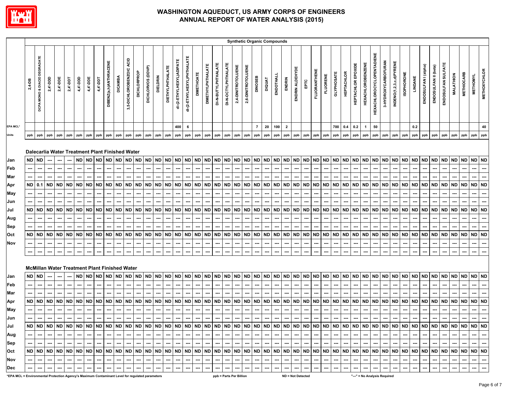

|                                                                                                 |                           |                                                      |                                                         |                                                                                                                                                |                                            |                                      |                                                         |                                                         |                          |                                                        |                                           |                                                                                     |                                                                              |                                                       |                                           |                                                  |                               |                                                 |                          |                                                                       |                                                        |                                                 |                              |                                        | <b>Synthetic Organic Compounds</b>  |                                                  |                                                         |                                                         |                                                                              |                                                         |                                                                                            |                                      |                          |                                                  |                                                                                   |                                  |                                       |                                           |                                                         |                  |                                       |                                     |                                           |                                                  |                                                  |                                 |                          |
|-------------------------------------------------------------------------------------------------|---------------------------|------------------------------------------------------|---------------------------------------------------------|------------------------------------------------------------------------------------------------------------------------------------------------|--------------------------------------------|--------------------------------------|---------------------------------------------------------|---------------------------------------------------------|--------------------------|--------------------------------------------------------|-------------------------------------------|-------------------------------------------------------------------------------------|------------------------------------------------------------------------------|-------------------------------------------------------|-------------------------------------------|--------------------------------------------------|-------------------------------|-------------------------------------------------|--------------------------|-----------------------------------------------------------------------|--------------------------------------------------------|-------------------------------------------------|------------------------------|----------------------------------------|-------------------------------------|--------------------------------------------------|---------------------------------------------------------|---------------------------------------------------------|------------------------------------------------------------------------------|---------------------------------------------------------|--------------------------------------------------------------------------------------------|--------------------------------------|--------------------------|--------------------------------------------------|-----------------------------------------------------------------------------------|----------------------------------|---------------------------------------|-------------------------------------------|---------------------------------------------------------|------------------|---------------------------------------|-------------------------------------|-------------------------------------------|--------------------------------------------------|--------------------------------------------------|---------------------------------|--------------------------|
|                                                                                                 | 2,4-DB                    | MONO & DIACID DEGRADATE<br>DCPA                      | 2,4'-DDD                                                | $2,4$ '-DDE                                                                                                                                    | $2,4 -$ DDT                                | 4,4'-DDD                             | 4,4'-DDE                                                | 4,4'-DDT                                                | DIBENZ(a,h)ANTHRACENE    | <b>DICAMBA</b>                                         | 3,5-DICHLOROBENZOIC ACID                  | <b>DICHLORPROP</b>                                                                  | DICHLORVOS (DDVP)                                                            | <b>DIELDRIN</b>                                       | <b>DIETHYLPHTHALATE</b>                   | di-(2-ETHYLHEXYL)ADIPATE                         | di-(2-ETHYLHEXYL)PHTHALATE    | <b>DIMETHOATE</b>                               | <b>DIMETHYLPHTHALATE</b> | DI-N-BUTYLPHTHALATE                                                   | DI-N-OCTYLPHTHALATE                                    | 2,4-DINITROTOLUENE                              | 2,6-DINITROTOLUENE           | DINOSEB                                | <b>DIQUAT</b>                       | ENDOTHALL                                        | ENDRIN                                                  | ENDRIN ALDEHYDE                                         | EРTC                                                                         | <b>FLUORANTHENE</b>                                     | <b>FLUORENE</b>                                                                            | <b>GLYPHOSATE</b>                    | <b>HEPTACHLOR</b>        | <b>HEPTACHLOR EPOXIDE</b>                        | <b>HEXACHLOROBENZENE</b>                                                          | <b>HEXACHLOROCYCLOPENTADIENE</b> | 3-HYDROXYCARBOFURAN                   | INDENO(1,2,3,c,d)PYRENE                   | <b>ISOPHORONE</b>                                       | LINDANE          | ENDOSULFAN I (alpha)                  | ENDOSULFAN II (beta)                | ENDOSULFAN SULFATE                        | <b>MALATHION</b>                                 | <b>METHIOCARB</b>                                | <b>METHOMYL</b>                 | <b>METHOXYCHLOR</b>      |
| EPA MCL*                                                                                        |                           |                                                      |                                                         |                                                                                                                                                |                                            |                                      |                                                         |                                                         |                          |                                                        |                                           |                                                                                     |                                                                              |                                                       |                                           | 400                                              | 6                             |                                                 |                          |                                                                       |                                                        |                                                 |                              | $\overline{7}$                         | 20                                  | 100                                              | $\overline{2}$                                          |                                                         |                                                                              |                                                         |                                                                                            | 700                                  | 0.4                      | 0.2                                              | $\mathbf{1}$                                                                      | 50                               |                                       |                                           |                                                         | 0.2              |                                       |                                     |                                           |                                                  |                                                  |                                 | 40                       |
| Units                                                                                           | ppb                       | ppb                                                  | ppb                                                     | ppb                                                                                                                                            | ppb                                        | ppb                                  | ppb                                                     | ppb                                                     | ppb                      | ppb                                                    | ppb                                       | ppb                                                                                 | ppb                                                                          | ppb                                                   | ppb                                       | ppb                                              | ppb                           | ppb                                             | ppb                      | ppb                                                                   | ppb                                                    | ppb                                             | ppb                          | ppb                                    | ppb                                 | ppb                                              | ppb                                                     | ppb                                                     | ppb                                                                          | ppb                                                     | ppb                                                                                        | ppb                                  | ppb                      | ppb                                              | ppb                                                                               | ppb                              | ppb                                   | ppb                                       | ppb                                                     | ppb              | ppb                                   | ppb                                 | ppb                                       | ppb                                              | ppb                                              | ppb                             | ppb                      |
| Jan<br>Feb<br>Mar<br>Apr<br>May<br>Jun<br>Jul<br>Aug<br>Sep<br>Oct<br>Nov                       | ND  <br>ND  <br>ND<br>--- | ND ND<br>---<br>---<br><b>ND</b><br>---<br>ND<br>--- | ---<br>---<br>$0.1$ ND<br><b>ND</b><br><b>ND</b><br>--- | Dalecarlia Water Treatment Plant Finished Water<br>---<br><b>ND</b><br>ND<br><b>ND</b><br>---<br>McMillan Water Treatment Plant Finished Water | <b>ND</b><br><b>ND</b><br><b>ND</b><br>--- | <b>ND</b><br>ND.<br>ND.<br><b>ND</b> | <b>ND</b><br><b>ND</b><br><b>ND</b><br><b>ND</b><br>--- | <b>ND</b><br><b>ND</b><br><b>ND</b><br><b>ND</b><br>--- | ND  <br><b>ND</b><br>--- | ND ND<br>ND ND<br>ND<br>---<br><b>ND</b><br>---<br>--- | <b>ND</b><br>ND<br>ND<br>ND<br>---<br>--- | <b>ND</b><br><b>ND</b><br>---<br><b>ND</b><br>---<br>---<br><b>ND</b><br>---<br>--- | <b>ND</b><br>---<br><b>ND</b><br><b>ND</b><br>---<br><b>ND</b><br>---<br>--- | <b>ND</b><br><b>ND</b><br><b>ND</b><br><b>ND</b><br>⊷ | <b>ND</b><br><b>ND</b><br>ND<br><b>ND</b> | <b>ND</b><br><b>ND</b><br><b>ND</b><br><b>ND</b> | <b>ND</b><br><b>ND</b><br>--- | <b>ND</b><br>ND ND<br>ND ND<br><b>ND</b><br>--- | ND  <br>ND  <br>…        | ND ND<br>⊷<br>⊷<br>ND ND<br><b>ND</b><br>⊷<br>---<br><b>ND</b><br>--- | ND<br>--<br><b>ND</b><br><b>ND</b><br><b>ND</b><br>--- | <b>ND</b><br>--<br><b>ND</b><br>ND<br><b>ND</b> | ND<br>ND<br><b>ND</b><br>--- | ND ND<br><b>ND</b><br>ND.<br><b>ND</b> | <b>ND</b><br>ND.<br>ND<br><b>ND</b> | <b>ND</b><br><b>ND</b><br><b>ND</b><br><b>ND</b> | <b>ND</b><br><b>ND</b><br><b>ND</b><br><b>ND</b><br>--- | <b>ND</b><br><b>ND</b><br><b>ND</b><br><b>ND</b><br>--- | <b>ND</b><br>---<br><b>ND</b><br>---<br>ND<br>---<br><b>ND</b><br>---<br>--- | <b>ND</b><br><b>ND</b><br><b>ND</b><br><b>ND</b><br>--- | <b>ND</b><br>---<br>---<br><b>ND</b><br><b>ND</b><br>---<br>---<br><b>ND</b><br>---<br>--- | ND ND<br>ND ND<br>ND ND<br><b>ND</b> | <b>ND</b>                | <b>ND</b><br><b>ND</b><br><b>ND</b><br><b>ND</b> | <b>ND</b><br>---<br><b>ND</b><br><b>ND</b><br>---<br>---<br><b>ND</b><br>⊷<br>--- | ND ND<br>---                     | ND ND<br>ND ND<br>---<br>ND ND<br>--- | <b>ND</b><br>ND<br>ND<br><b>ND</b><br>--- | <b>ND</b><br>---<br><b>ND</b><br><b>ND</b><br><b>ND</b> | ND  <br>ND<br>ND | ND ND<br><b>ND</b><br>ND<br><b>ND</b> | <b>ND</b><br>ND.<br>ND<br><b>ND</b> | <b>ND</b><br><b>ND</b><br>ND<br><b>ND</b> | <b>ND</b><br><b>ND</b><br><b>ND</b><br><b>ND</b> | <b>ND</b><br><b>ND</b><br><b>ND</b><br><b>ND</b> | ND ND<br>ND ND<br>ND  <br>ND ND | <b>ND</b>                |
| Jan                                                                                             |                           | ND ND                                                |                                                         |                                                                                                                                                |                                            | ND                                   | <b>ND</b>                                               | <b>ND</b>                                               |                          | ND ND                                                  | <b>ND</b>                                 | <b>ND</b>                                                                           | <b>ND</b>                                                                    | <b>ND</b>                                             | <b>ND</b>                                 | <b>ND</b>                                        | <b>ND</b>                     | <b>ND</b>                                       | ND                       | <b>ND</b>                                                             | <b>ND</b>                                              | <b>ND</b>                                       | ND ND                        |                                        | ND                                  | <b>ND</b>                                        | <b>ND</b>                                               | <b>ND</b>                                               | <b>ND</b>                                                                    | <b>ND</b>                                               | <b>ND</b>                                                                                  | <b>ND</b>                            | <b>ND</b>                | <b>ND</b>                                        | <b>ND</b>                                                                         |                                  | ND ND                                 | <b>ND</b>                                 | <b>ND</b>                                               |                  | ND ND                                 | <b>ND</b>                           | <b>ND</b>                                 | <b>ND</b>                                        | <b>ND</b>                                        | ND ND                           |                          |
| Feb                                                                                             |                           | ---                                                  | ---                                                     |                                                                                                                                                |                                            |                                      |                                                         |                                                         |                          |                                                        |                                           |                                                                                     |                                                                              |                                                       |                                           |                                                  |                               |                                                 |                          |                                                                       |                                                        |                                                 |                              |                                        |                                     |                                                  |                                                         |                                                         |                                                                              |                                                         | ---                                                                                        |                                      |                          |                                                  |                                                                                   |                                  |                                       |                                           |                                                         |                  |                                       |                                     |                                           |                                                  |                                                  |                                 |                          |
| Mar                                                                                             |                           |                                                      |                                                         |                                                                                                                                                |                                            |                                      |                                                         |                                                         |                          |                                                        |                                           |                                                                                     |                                                                              |                                                       |                                           |                                                  |                               |                                                 |                          |                                                                       |                                                        |                                                 |                              |                                        |                                     |                                                  |                                                         |                                                         |                                                                              |                                                         |                                                                                            |                                      |                          |                                                  |                                                                                   |                                  |                                       |                                           |                                                         |                  |                                       |                                     |                                           |                                                  |                                                  |                                 |                          |
| Apr                                                                                             |                           |                                                      | ND ND ND                                                | <b>ND</b>                                                                                                                                      | <b>ND</b>                                  | ND                                   | <b>ND</b>                                               | <b>ND</b>                                               |                          | ND ND                                                  | <b>ND</b>                                 | <b>ND</b>                                                                           | <b>ND</b>                                                                    | <b>ND</b>                                             | ND ND                                     |                                                  |                               | ND ND                                           |                          | ND ND                                                                 | ND                                                     | <b>ND</b>                                       | ND ND                        |                                        | <b>ND</b>                           | <b>ND</b>                                        | <b>ND</b>                                               | <b>ND</b>                                               | <b>ND</b>                                                                    | <b>ND</b>                                               | <b>ND</b>                                                                                  | ND ND                                |                          | <b>ND</b>                                        | <b>ND</b>                                                                         |                                  | ND ND ND                              |                                           | <b>ND</b>                                               | <b>ND</b>        | <b>ND</b>                             | ND                                  | <b>ND</b>                                 | <b>ND</b>                                        | <b>ND</b>                                        | ND ND                           |                          |
| <b>May</b>                                                                                      |                           | ---                                                  | ---                                                     |                                                                                                                                                |                                            |                                      |                                                         |                                                         |                          | ---                                                    | ---                                       | ---                                                                                 |                                                                              | ---                                                   |                                           | ---                                              | ---                           |                                                 | ⊷                        | ⊷                                                                     | ---                                                    |                                                 | ---                          |                                        |                                     |                                                  |                                                         |                                                         | ---                                                                          |                                                         | ---                                                                                        |                                      |                          | ---                                              | ---                                                                               | ---                              | ---                                   | ⊷                                         |                                                         |                  |                                       |                                     |                                           |                                                  |                                                  |                                 |                          |
| Jun                                                                                             |                           | ---                                                  | ---                                                     |                                                                                                                                                |                                            |                                      |                                                         |                                                         |                          |                                                        | ---                                       |                                                                                     | ---                                                                          |                                                       |                                           |                                                  | ---                           |                                                 |                          | ---                                                                   |                                                        |                                                 |                              |                                        |                                     |                                                  |                                                         |                                                         |                                                                              | ---                                                     |                                                                                            |                                      |                          |                                                  | ---                                                                               |                                  |                                       |                                           |                                                         |                  |                                       |                                     |                                           |                                                  |                                                  |                                 |                          |
| Jul                                                                                             |                           | $\sim$                                               | $\sim$                                                  | $---$                                                                                                                                          | $\overline{\phantom{a}}$                   | $---$                                | $---$                                                   | $\hspace{0.05cm} \ldots$                                | $\sim$ $\sim$            | $\sim$                                                 | $\sim$                                    | $\sim$                                                                              | $\overline{\phantom{a}}$                                                     | $\hspace{0.05cm} \cdots$                              | $\cdots$                                  | $\hspace{0.05cm} \ldots$                         | $\sim$                        | $\hspace{0.05cm} \cdots$                        | $\hspace{0.05cm} \cdots$ | $\sim$                                                                | $\sim$                                                 | $\cdots$                                        | $\cdots$                     | $\sim$                                 | $\sim$                              | $\cdots$                                         | $\sim$                                                  | $\sim$                                                  | $\overline{\phantom{a}}$                                                     | $\sim$                                                  | $\cdots$                                                                                   | $\overline{\phantom{a}}$             | $\overline{\phantom{a}}$ | $\sim$                                           | $\sim$                                                                            | $\sim$                           | $\sim$ $\sim$                         | $\sim$ $\sim$                             | $\cdots$                                                | $\sim$           | $\overline{\phantom{a}}$              | ---                                 | $\hspace{0.05cm} \ldots$                  | $\hspace{0.05cm} \ldots$                         | $\sim$                                           | $\sim$                          | $\sim$                   |
| Aug<br>Sep                                                                                      |                           | $\sim$                                               | --- I                                                   | $\sim$                                                                                                                                         | $\overline{\phantom{a}}$                   | ---                                  | $---$                                                   | $\sim$                                                  |                          | $\overline{\phantom{a}}$                               |                                           | $\hspace{0.05cm} \ldots$                                                            | $\overline{\phantom{a}}$                                                     |                                                       |                                           | $\overline{\phantom{a}}$                         | $\sim$                        | $\overline{\phantom{a}}$                        | --- I                    | $\sim$                                                                | $-1$                                                   | $\overline{\phantom{a}}$                        | $\sim$                       |                                        | $\overline{\phantom{a}}$            | $\overline{\phantom{a}}$                         | $\sim$                                                  | $\sim$                                                  | $\sim$                                                                       | $\overline{\phantom{a}}$                                | $\overline{\phantom{a}}$                                                                   |                                      |                          | $\overline{\phantom{a}}$                         |                                                                                   |                                  |                                       | $\sim$                                    | $\overline{\phantom{a}}$                                | $-$              | ---                                   |                                     |                                           | $\sim$                                           |                                                  | $\overline{\phantom{a}}$        | $\overline{\phantom{a}}$ |
| Oct                                                                                             |                           |                                                      |                                                         |                                                                                                                                                |                                            |                                      |                                                         |                                                         |                          |                                                        |                                           |                                                                                     |                                                                              |                                                       |                                           |                                                  |                               |                                                 |                          |                                                                       |                                                        |                                                 |                              |                                        |                                     |                                                  |                                                         |                                                         |                                                                              |                                                         |                                                                                            |                                      |                          |                                                  |                                                                                   |                                  |                                       |                                           |                                                         |                  |                                       |                                     |                                           |                                                  |                                                  |                                 |                          |
| Nov                                                                                             |                           | $\hspace{0.05cm} \ldots$                             | ---                                                     | $\hspace{0.05cm} \ldots$                                                                                                                       |                                            | $\hspace{0.05cm} \ldots$             | ---                                                     | $\overline{\phantom{a}}$                                | ---                      | ---                                                    | ---                                       | $\overline{a}$                                                                      | ---                                                                          | ---                                                   | ---                                       | ---                                              | ---                           | ---                                             | ---                      | ---                                                                   | ---                                                    | ---                                             | ---                          |                                        | ---                                 | ---                                              | $\overline{\phantom{a}}$                                | ---                                                     | $\sim$                                                                       |                                                         | ---                                                                                        | ---                                  | ---                      | ---                                              | $\hspace{0.05cm} \cdots$                                                          | $\hspace{0.05cm} \ldots$         | ---                                   | ---                                       | ---                                                     | $\sim$ $\sim$    |                                       | ---                                 |                                           | ---                                              |                                                  | ---                             | $\overline{\phantom{a}}$ |
| Dec                                                                                             |                           | ---                                                  |                                                         |                                                                                                                                                |                                            |                                      |                                                         |                                                         |                          |                                                        |                                           |                                                                                     | ---                                                                          | ---                                                   | ---                                       | ---                                              | ---                           | ---                                             | ---                      | ---                                                                   | $\hspace{0.05cm} \ldots$                               | ---                                             |                              |                                        |                                     | ---                                              | ---                                                     | ---                                                     | ---                                                                          | ---                                                     | ---                                                                                        | ---                                  | ---                      | ---                                              | $\hspace{0.05cm} \cdots$                                                          | $\hspace{0.05cm} \cdots$         | ---                                   | ---                                       | ---                                                     | ---              | ---                                   |                                     |                                           | ---                                              | $\overline{\phantom{a}}$                         | $\hspace{0.05cm} \ldots$        | $\cdots$                 |
| *EPA MCL = Environmental Protection Agency's Maximum Contaminant Level for regulated parameters |                           |                                                      |                                                         |                                                                                                                                                |                                            |                                      |                                                         |                                                         |                          |                                                        |                                           |                                                                                     |                                                                              |                                                       |                                           |                                                  |                               |                                                 |                          |                                                                       | ppb = Parts Per Billion                                |                                                 |                              |                                        |                                     |                                                  |                                                         | ND = Not Detected                                       |                                                                              |                                                         |                                                                                            |                                      |                          |                                                  | "---" = No Analysis Required                                                      |                                  |                                       |                                           |                                                         |                  |                                       |                                     |                                           |                                                  |                                                  |                                 |                          |